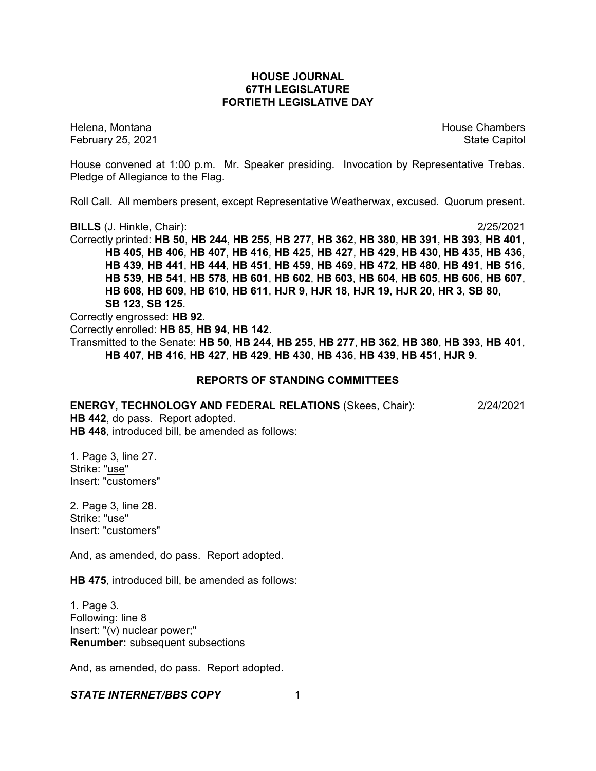## **HOUSE JOURNAL 67TH LEGISLATURE FORTIETH LEGISLATIVE DAY**

February 25, 2021 **State Capitol** 

Helena, Montana House Chambers Chambers Chambers and House Chambers Chambers Chambers Chambers Chambers Chambers Chambers Chambers Chambers Chambers Chambers Chambers Chambers Chambers Chambers Chambers Chambers Chambers C

House convened at 1:00 p.m. Mr. Speaker presiding. Invocation by Representative Trebas. Pledge of Allegiance to the Flag.

Roll Call. All members present, except Representative Weatherwax, excused. Quorum present.

**BILLS** (J. Hinkle, Chair): 2/25/2021

Correctly printed: **HB 50**, **HB 244**, **HB 255**, **HB 277**, **HB 362**, **HB 380**, **HB 391**, **HB 393**, **HB 401**, **HB 405**, **HB 406**, **HB 407**, **HB 416**, **HB 425**, **HB 427**, **HB 429**, **HB 430**, **HB 435**, **HB 436**, **HB 439**, **HB 441**, **HB 444**, **HB 451**, **HB 459**, **HB 469**, **HB 472**, **HB 480**, **HB 491**, **HB 516**, **HB 539**, **HB 541**, **HB 578**, **HB 601**, **HB 602**, **HB 603**, **HB 604**, **HB 605**, **HB 606**, **HB 607**, **HB 608**, **HB 609**, **HB 610**, **HB 611**, **HJR 9**, **HJR 18**, **HJR 19**, **HJR 20**, **HR 3**, **SB 80**, **SB 123**, **SB 125**.

Correctly engrossed: **HB 92**. Correctly enrolled: **HB 85**, **HB 94**, **HB 142**. Transmitted to the Senate: **HB 50**, **HB 244**, **HB 255**, **HB 277**, **HB 362**, **HB 380**, **HB 393**, **HB 401**, **HB 407**, **HB 416**, **HB 427**, **HB 429**, **HB 430**, **HB 436**, **HB 439**, **HB 451**, **HJR 9**.

#### **REPORTS OF STANDING COMMITTEES**

**ENERGY, TECHNOLOGY AND FEDERAL RELATIONS** (Skees, Chair): 2/24/2021 **HB 442**, do pass. Report adopted. **HB 448**, introduced bill, be amended as follows:

1. Page 3, line 27. Strike: "use" Insert: "customers"

2. Page 3, line 28. Strike: "use" Insert: "customers"

And, as amended, do pass. Report adopted.

**HB 475**, introduced bill, be amended as follows:

1. Page 3. Following: line 8 Insert: "(v) nuclear power;" **Renumber:** subsequent subsections

And, as amended, do pass. Report adopted.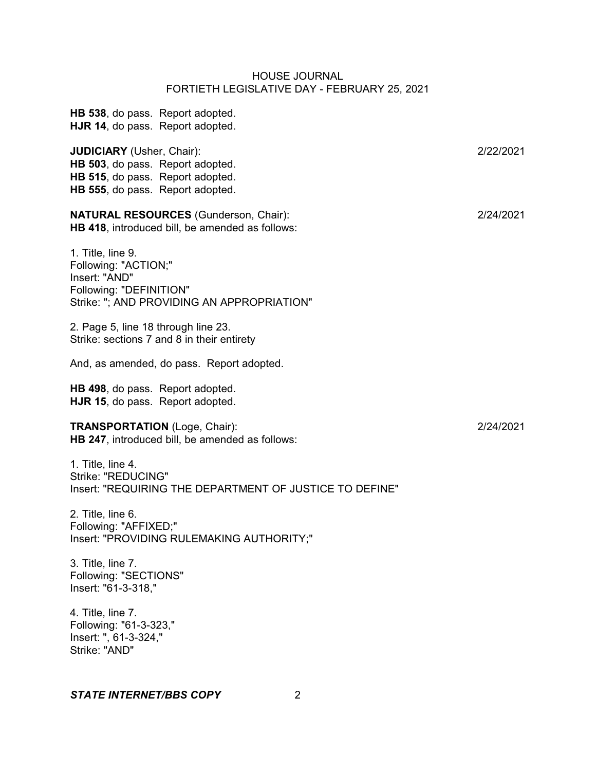**HB 538**, do pass. Report adopted. **HJR 14**, do pass. Report adopted. **JUDICIARY** (Usher, Chair): 2/22/2021 **HB 503**, do pass. Report adopted. **HB 515**, do pass. Report adopted. **HB 555**, do pass. Report adopted. **NATURAL RESOURCES** (Gunderson, Chair): 2/24/2021 **HB 418**, introduced bill, be amended as follows: 1. Title, line 9. Following: "ACTION;" Insert: "AND" Following: "DEFINITION" Strike: "; AND PROVIDING AN APPROPRIATION" 2. Page 5, line 18 through line 23. Strike: sections 7 and 8 in their entirety And, as amended, do pass. Report adopted. **HB 498**, do pass. Report adopted. **HJR 15**, do pass. Report adopted. **TRANSPORTATION** (Loge, Chair): 2/24/2021 **HB 247**, introduced bill, be amended as follows: 1. Title, line 4. Strike: "REDUCING" Insert: "REQUIRING THE DEPARTMENT OF JUSTICE TO DEFINE" 2. Title, line 6. Following: "AFFIXED;" Insert: "PROVIDING RULEMAKING AUTHORITY;" 3. Title, line 7. Following: "SECTIONS" Insert: "61-3-318," 4. Title, line 7. Following: "61-3-323," Insert: ", 61-3-324,"

#### *STATE INTERNET/BBS COPY* 2

Strike: "AND"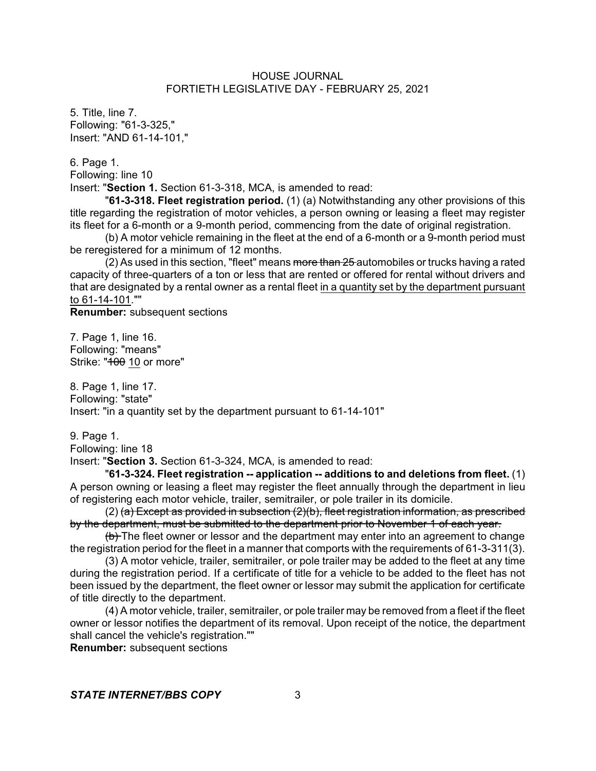5. Title, line 7. Following: "61-3-325," Insert: "AND 61-14-101,"

6. Page 1.

Following: line 10

Insert: "**Section 1.** Section 61-3-318, MCA, is amended to read:

"**61-3-318. Fleet registration period.** (1) (a) Notwithstanding any other provisions of this title regarding the registration of motor vehicles, a person owning or leasing a fleet may register its fleet for a 6-month or a 9-month period, commencing from the date of original registration.

(b) A motor vehicle remaining in the fleet at the end of a 6-month or a 9-month period must be reregistered for a minimum of 12 months.

(2) As used in this section, "fleet" means more than 25 automobiles or trucks having a rated capacity of three-quarters of a ton or less that are rented or offered for rental without drivers and that are designated by a rental owner as a rental fleet in a quantity set by the department pursuant to 61-14-101.""

**Renumber:** subsequent sections

7. Page 1, line 16. Following: "means" Strike: "400 10 or more"

8. Page 1, line 17. Following: "state" Insert: "in a quantity set by the department pursuant to 61-14-101"

9. Page 1.

Following: line 18

Insert: "**Section 3.** Section 61-3-324, MCA, is amended to read:

"**61-3-324. Fleet registration -- application -- additions to and deletions from fleet.** (1) A person owning or leasing a fleet may register the fleet annually through the department in lieu of registering each motor vehicle, trailer, semitrailer, or pole trailer in its domicile.

 $(2)$  (a) Except as provided in subsection  $(2)$ (b), fleet registration information, as prescribed by the department, must be submitted to the department prior to November 1 of each year.

(b) The fleet owner or lessor and the department may enter into an agreement to change the registration period for the fleet in a manner that comports with the requirements of 61-3-311(3).

(3) A motor vehicle, trailer, semitrailer, or pole trailer may be added to the fleet at any time during the registration period. If a certificate of title for a vehicle to be added to the fleet has not been issued by the department, the fleet owner or lessor may submit the application for certificate of title directly to the department.

(4) A motor vehicle, trailer, semitrailer, or pole trailer may be removed from a fleet if the fleet owner or lessor notifies the department of its removal. Upon receipt of the notice, the department shall cancel the vehicle's registration.""

**Renumber:** subsequent sections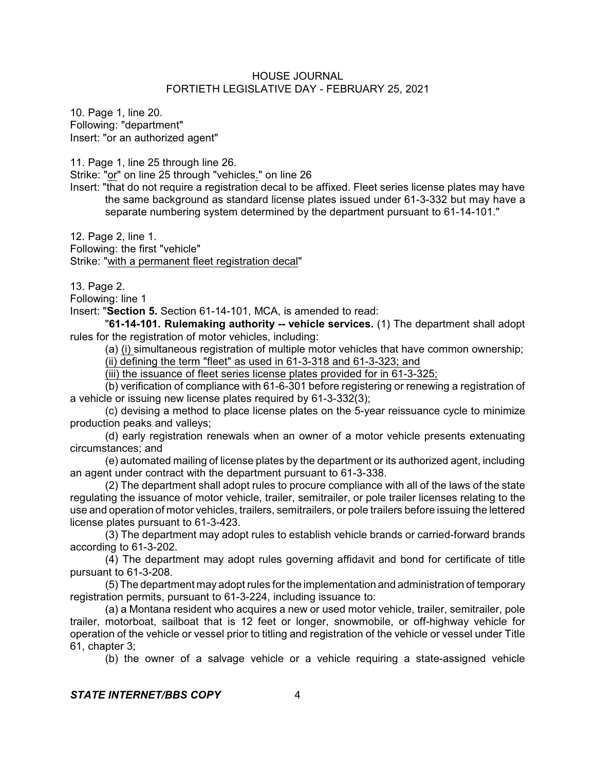10. Page 1, line 20. Following: "department" Insert: "or an authorized agent"

11. Page 1, line 25 through line 26.

Strike: "or" on line 25 through "vehicles." on line 26

Insert: "that do not require a registration decal to be affixed. Fleet series license plates may have the same background as standard license plates issued under 61-3-332 but may have a separate numbering system determined by the department pursuant to 61-14-101."

12. Page 2, line 1.

Following: the first "vehicle" Strike: "with a permanent fleet registration decal"

13. Page 2.

Following: line 1

Insert: "**Section 5.** Section 61-14-101, MCA, is amended to read:

"**61-14-101. Rulemaking authority -- vehicle services.** (1) The department shall adopt rules for the registration of motor vehicles, including:

(a) (i) simultaneous registration of multiple motor vehicles that have common ownership; (ii) defining the term "fleet" as used in 61-3-318 and 61-3-323; and

(iii) the issuance of fleet series license plates provided for in 61-3-325;

(b) verification of compliance with 61-6-301 before registering or renewing a registration of a vehicle or issuing new license plates required by 61-3-332(3);

(c) devising a method to place license plates on the 5-year reissuance cycle to minimize production peaks and valleys;

(d) early registration renewals when an owner of a motor vehicle presents extenuating circumstances; and

(e) automated mailing of license plates by the department or its authorized agent, including an agent under contract with the department pursuant to 61-3-338.

(2) The department shall adopt rules to procure compliance with all of the laws of the state regulating the issuance of motor vehicle, trailer, semitrailer, or pole trailer licenses relating to the use and operation of motor vehicles, trailers, semitrailers, or pole trailers before issuing the lettered license plates pursuant to 61-3-423.

(3) The department may adopt rules to establish vehicle brands or carried-forward brands according to 61-3-202.

(4) The department may adopt rules governing affidavit and bond for certificate of title pursuant to 61-3-208.

(5) The department may adopt rules for the implementation and administration of temporary registration permits, pursuant to 61-3-224, including issuance to:

(a) a Montana resident who acquires a new or used motor vehicle, trailer, semitrailer, pole trailer, motorboat, sailboat that is 12 feet or longer, snowmobile, or off-highway vehicle for operation of the vehicle or vessel prior to titling and registration of the vehicle or vessel under Title 61, chapter 3;

(b) the owner of a salvage vehicle or a vehicle requiring a state-assigned vehicle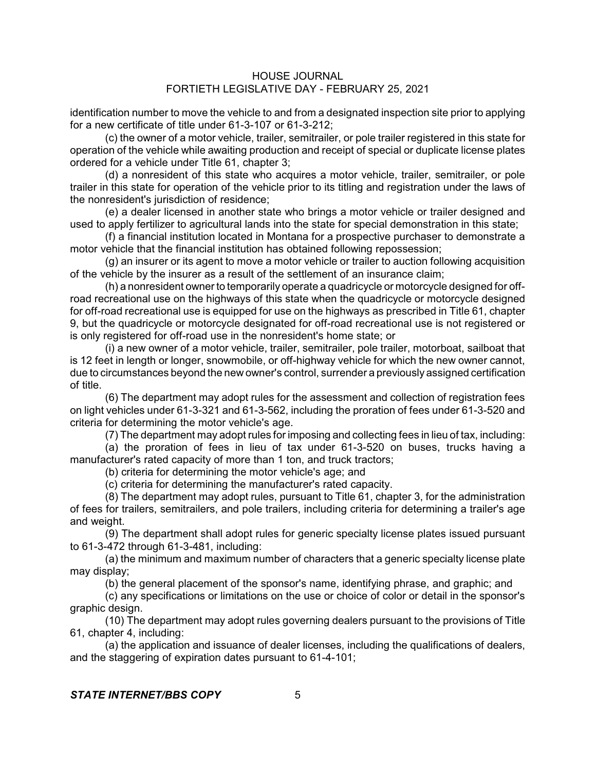identification number to move the vehicle to and from a designated inspection site prior to applying for a new certificate of title under 61-3-107 or 61-3-212;

(c) the owner of a motor vehicle, trailer, semitrailer, or pole trailer registered in this state for operation of the vehicle while awaiting production and receipt of special or duplicate license plates ordered for a vehicle under Title 61, chapter 3;

(d) a nonresident of this state who acquires a motor vehicle, trailer, semitrailer, or pole trailer in this state for operation of the vehicle prior to its titling and registration under the laws of the nonresident's jurisdiction of residence;

(e) a dealer licensed in another state who brings a motor vehicle or trailer designed and used to apply fertilizer to agricultural lands into the state for special demonstration in this state;

(f) a financial institution located in Montana for a prospective purchaser to demonstrate a motor vehicle that the financial institution has obtained following repossession;

(g) an insurer or its agent to move a motor vehicle or trailer to auction following acquisition of the vehicle by the insurer as a result of the settlement of an insurance claim;

(h) a nonresident ownerto temporarily operate a quadricycle or motorcycle designed for offroad recreational use on the highways of this state when the quadricycle or motorcycle designed for off-road recreational use is equipped for use on the highways as prescribed in Title 61, chapter 9, but the quadricycle or motorcycle designated for off-road recreational use is not registered or is only registered for off-road use in the nonresident's home state; or

(i) a new owner of a motor vehicle, trailer, semitrailer, pole trailer, motorboat, sailboat that is 12 feet in length or longer, snowmobile, or off-highway vehicle for which the new owner cannot, due to circumstances beyond the new owner's control, surrender a previously assigned certification of title.

(6) The department may adopt rules for the assessment and collection of registration fees on light vehicles under 61-3-321 and 61-3-562, including the proration of fees under 61-3-520 and criteria for determining the motor vehicle's age.

(7) The department may adopt rules for imposing and collecting fees in lieu of tax, including:

(a) the proration of fees in lieu of tax under 61-3-520 on buses, trucks having a manufacturer's rated capacity of more than 1 ton, and truck tractors;

(b) criteria for determining the motor vehicle's age; and

(c) criteria for determining the manufacturer's rated capacity.

(8) The department may adopt rules, pursuant to Title 61, chapter 3, for the administration of fees for trailers, semitrailers, and pole trailers, including criteria for determining a trailer's age and weight.

(9) The department shall adopt rules for generic specialty license plates issued pursuant to 61-3-472 through 61-3-481, including:

(a) the minimum and maximum number of characters that a generic specialty license plate may display;

(b) the general placement of the sponsor's name, identifying phrase, and graphic; and

(c) any specifications or limitations on the use or choice of color or detail in the sponsor's graphic design.

(10) The department may adopt rules governing dealers pursuant to the provisions of Title 61, chapter 4, including:

(a) the application and issuance of dealer licenses, including the qualifications of dealers, and the staggering of expiration dates pursuant to 61-4-101;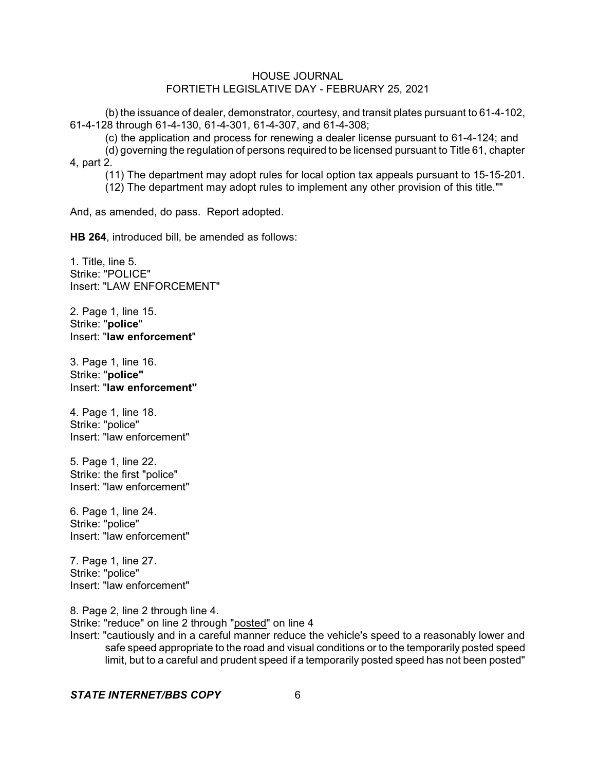(b) the issuance of dealer, demonstrator, courtesy, and transit plates pursuant to 61-4-102, 61-4-128 through 61-4-130, 61-4-301, 61-4-307, and 61-4-308;

(c) the application and process for renewing a dealer license pursuant to 61-4-124; and

(d) governing the regulation of persons required to be licensed pursuant to Title 61, chapter 4, part 2.

(11) The department may adopt rules for local option tax appeals pursuant to 15-15-201.

(12) The department may adopt rules to implement any other provision of this title.""

And, as amended, do pass. Report adopted.

**HB 264**, introduced bill, be amended as follows:

1. Title, line 5. Strike: "POLICE" Insert: "LAW ENFORCEMENT"

2. Page 1, line 15. Strike: "**police**" Insert: "**law enforcement**"

3. Page 1, line 16. Strike: "**police"** Insert: "**law enforcement"**

4. Page 1, line 18. Strike: "police" Insert: "law enforcement"

5. Page 1, line 22. Strike: the first "police" Insert: "law enforcement"

6. Page 1, line 24. Strike: "police" Insert: "law enforcement"

7. Page 1, line 27. Strike: "police" Insert: "law enforcement"

8. Page 2, line 2 through line 4. Strike: "reduce" on line 2 through "posted" on line 4

Insert: "cautiously and in a careful manner reduce the vehicle's speed to a reasonably lower and safe speed appropriate to the road and visual conditions or to the temporarily posted speed limit, but to a careful and prudent speed if a temporarily posted speed has not been posted"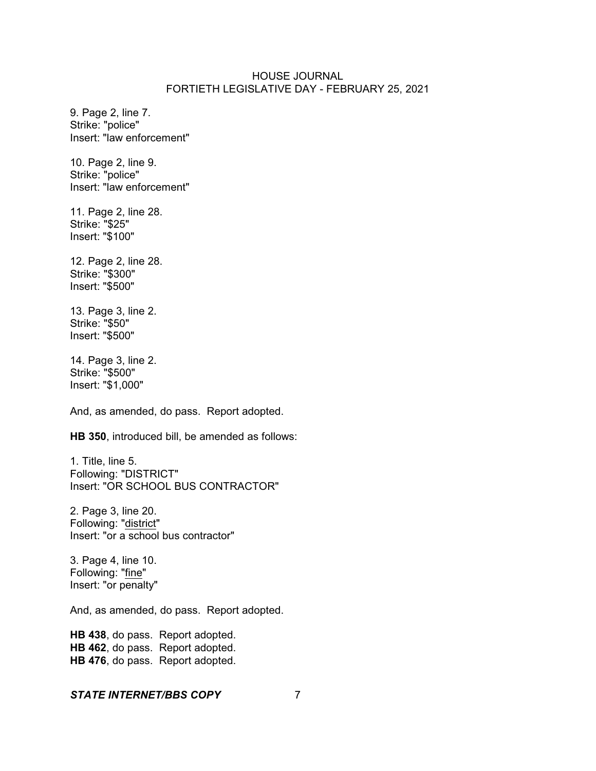9. Page 2, line 7. Strike: "police" Insert: "law enforcement"

10. Page 2, line 9. Strike: "police" Insert: "law enforcement"

11. Page 2, line 28. Strike: "\$25" Insert: "\$100"

12. Page 2, line 28. Strike: "\$300" Insert: "\$500"

13. Page 3, line 2. Strike: "\$50" Insert: "\$500"

14. Page 3, line 2. Strike: "\$500" Insert: "\$1,000"

And, as amended, do pass. Report adopted.

**HB 350**, introduced bill, be amended as follows:

1. Title, line 5. Following: "DISTRICT" Insert: "OR SCHOOL BUS CONTRACTOR"

2. Page 3, line 20. Following: "district" Insert: "or a school bus contractor"

3. Page 4, line 10. Following: "fine" Insert: "or penalty"

And, as amended, do pass. Report adopted.

**HB 438**, do pass. Report adopted. **HB 462**, do pass. Report adopted. **HB 476**, do pass. Report adopted.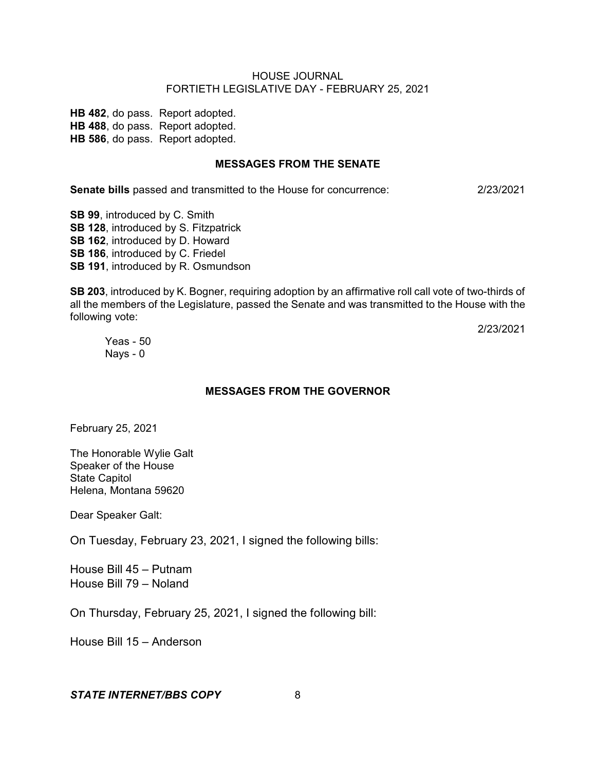**HB 482**, do pass. Report adopted. **HB 488**, do pass. Report adopted. **HB 586**, do pass. Report adopted.

#### **MESSAGES FROM THE SENATE**

**Senate bills** passed and transmitted to the House for concurrence: 2/23/2021

**SB 99**, introduced by C. Smith **SB 128**, introduced by S. Fitzpatrick **SB 162**, introduced by D. Howard **SB 186**, introduced by C. Friedel **SB 191**, introduced by R. Osmundson

**SB 203**, introduced by K. Bogner, requiring adoption by an affirmative roll call vote of two-thirds of all the members of the Legislature, passed the Senate and was transmitted to the House with the following vote:

2/23/2021

Yeas - 50 Nays - 0

## **MESSAGES FROM THE GOVERNOR**

February 25, 2021

The Honorable Wylie Galt Speaker of the House State Capitol Helena, Montana 59620

Dear Speaker Galt:

On Tuesday, February 23, 2021, I signed the following bills:

House Bill 45 – Putnam House Bill 79 – Noland

On Thursday, February 25, 2021, I signed the following bill:

House Bill 15 – Anderson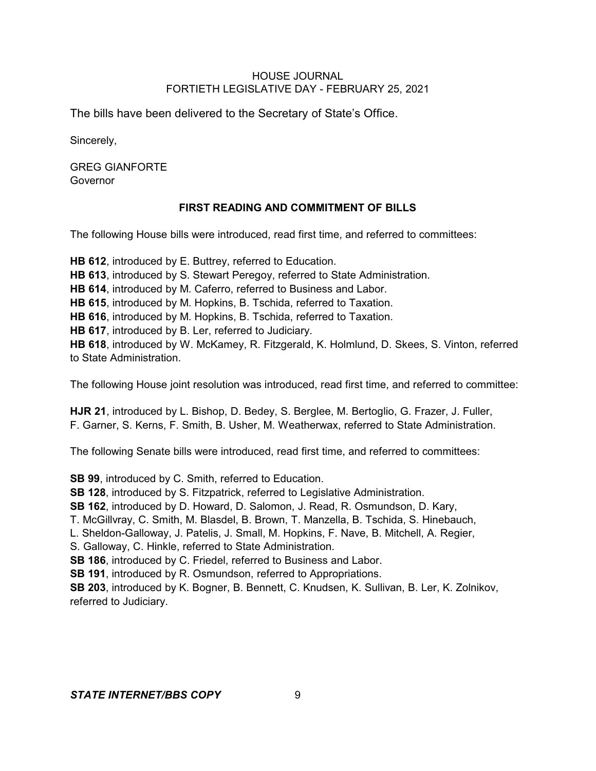The bills have been delivered to the Secretary of State's Office.

Sincerely,

GREG GIANFORTE Governor

# **FIRST READING AND COMMITMENT OF BILLS**

The following House bills were introduced, read first time, and referred to committees:

**HB 612**, introduced by E. Buttrey, referred to Education. **HB 613**, introduced by S. Stewart Peregoy, referred to State Administration. **HB 614**, introduced by M. Caferro, referred to Business and Labor. **HB 615**, introduced by M. Hopkins, B. Tschida, referred to Taxation. **HB 616**, introduced by M. Hopkins, B. Tschida, referred to Taxation. **HB 617**, introduced by B. Ler, referred to Judiciary. **HB 618**, introduced by W. McKamey, R. Fitzgerald, K. Holmlund, D. Skees, S. Vinton, referred to State Administration.

The following House joint resolution was introduced, read first time, and referred to committee:

**HJR 21**, introduced by L. Bishop, D. Bedey, S. Berglee, M. Bertoglio, G. Frazer, J. Fuller, F. Garner, S. Kerns, F. Smith, B. Usher, M. Weatherwax, referred to State Administration.

The following Senate bills were introduced, read first time, and referred to committees:

**SB 99**, introduced by C. Smith, referred to Education.

**SB 128**, introduced by S. Fitzpatrick, referred to Legislative Administration.

**SB 162**, introduced by D. Howard, D. Salomon, J. Read, R. Osmundson, D. Kary,

T. McGillvray, C. Smith, M. Blasdel, B. Brown, T. Manzella, B. Tschida, S. Hinebauch,

L. Sheldon-Galloway, J. Patelis, J. Small, M. Hopkins, F. Nave, B. Mitchell, A. Regier,

S. Galloway, C. Hinkle, referred to State Administration.

**SB 186**, introduced by C. Friedel, referred to Business and Labor.

**SB 191**, introduced by R. Osmundson, referred to Appropriations.

**SB 203**, introduced by K. Bogner, B. Bennett, C. Knudsen, K. Sullivan, B. Ler, K. Zolnikov, referred to Judiciary.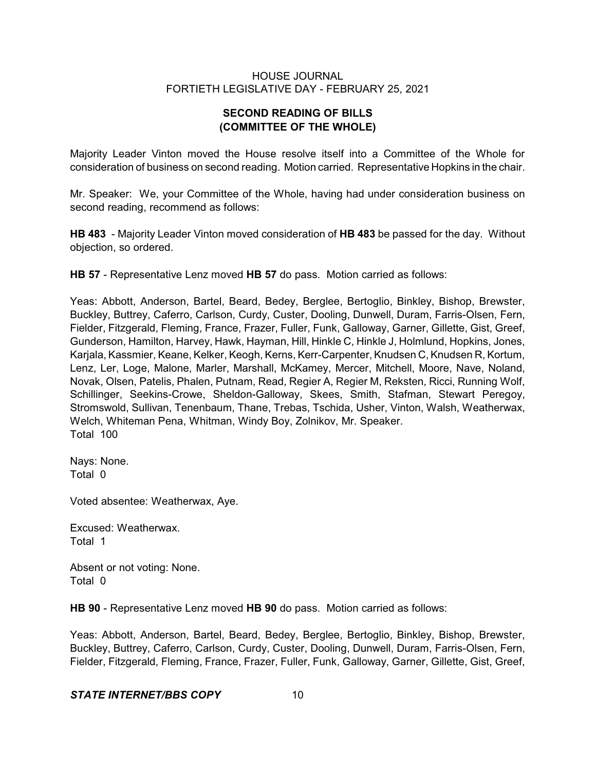# **SECOND READING OF BILLS (COMMITTEE OF THE WHOLE)**

Majority Leader Vinton moved the House resolve itself into a Committee of the Whole for consideration of business on second reading. Motion carried. Representative Hopkins in the chair.

Mr. Speaker: We, your Committee of the Whole, having had under consideration business on second reading, recommend as follows:

**HB 483** - Majority Leader Vinton moved consideration of **HB 483** be passed for the day. Without objection, so ordered.

**HB 57** - Representative Lenz moved **HB 57** do pass. Motion carried as follows:

Yeas: Abbott, Anderson, Bartel, Beard, Bedey, Berglee, Bertoglio, Binkley, Bishop, Brewster, Buckley, Buttrey, Caferro, Carlson, Curdy, Custer, Dooling, Dunwell, Duram, Farris-Olsen, Fern, Fielder, Fitzgerald, Fleming, France, Frazer, Fuller, Funk, Galloway, Garner, Gillette, Gist, Greef, Gunderson, Hamilton, Harvey, Hawk, Hayman, Hill, Hinkle C, Hinkle J, Holmlund, Hopkins, Jones, Karjala, Kassmier, Keane, Kelker, Keogh, Kerns, Kerr-Carpenter, Knudsen C, Knudsen R, Kortum, Lenz, Ler, Loge, Malone, Marler, Marshall, McKamey, Mercer, Mitchell, Moore, Nave, Noland, Novak, Olsen, Patelis, Phalen, Putnam, Read, Regier A, Regier M, Reksten, Ricci, Running Wolf, Schillinger, Seekins-Crowe, Sheldon-Galloway, Skees, Smith, Stafman, Stewart Peregoy, Stromswold, Sullivan, Tenenbaum, Thane, Trebas, Tschida, Usher, Vinton, Walsh, Weatherwax, Welch, Whiteman Pena, Whitman, Windy Boy, Zolnikov, Mr. Speaker. Total 100

Nays: None. Total 0

Voted absentee: Weatherwax, Aye.

Excused: Weatherwax. Total 1

Absent or not voting: None. Total 0

**HB 90** - Representative Lenz moved **HB 90** do pass. Motion carried as follows:

Yeas: Abbott, Anderson, Bartel, Beard, Bedey, Berglee, Bertoglio, Binkley, Bishop, Brewster, Buckley, Buttrey, Caferro, Carlson, Curdy, Custer, Dooling, Dunwell, Duram, Farris-Olsen, Fern, Fielder, Fitzgerald, Fleming, France, Frazer, Fuller, Funk, Galloway, Garner, Gillette, Gist, Greef,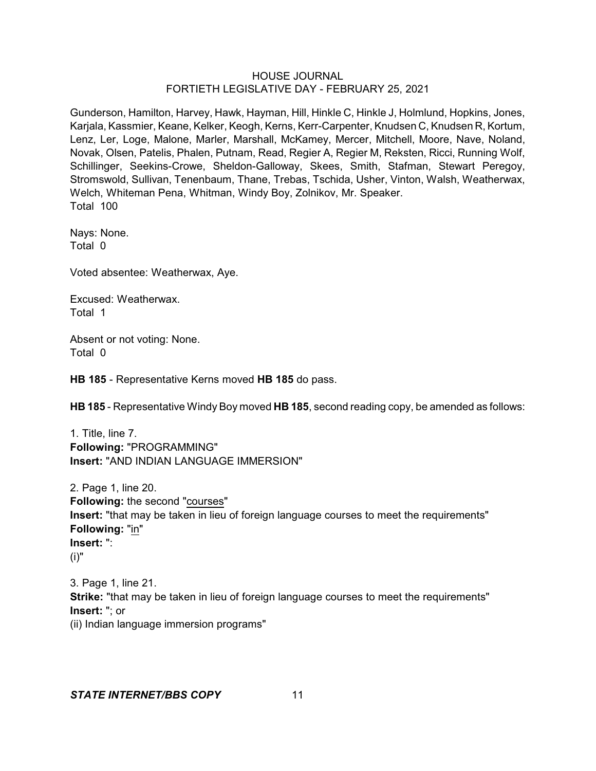Gunderson, Hamilton, Harvey, Hawk, Hayman, Hill, Hinkle C, Hinkle J, Holmlund, Hopkins, Jones, Karjala, Kassmier, Keane, Kelker, Keogh, Kerns, Kerr-Carpenter, Knudsen C, Knudsen R, Kortum, Lenz, Ler, Loge, Malone, Marler, Marshall, McKamey, Mercer, Mitchell, Moore, Nave, Noland, Novak, Olsen, Patelis, Phalen, Putnam, Read, Regier A, Regier M, Reksten, Ricci, Running Wolf, Schillinger, Seekins-Crowe, Sheldon-Galloway, Skees, Smith, Stafman, Stewart Peregoy, Stromswold, Sullivan, Tenenbaum, Thane, Trebas, Tschida, Usher, Vinton, Walsh, Weatherwax, Welch, Whiteman Pena, Whitman, Windy Boy, Zolnikov, Mr. Speaker. Total 100

Nays: None. Total 0

Voted absentee: Weatherwax, Aye.

Excused: Weatherwax. Total 1

Absent or not voting: None. Total 0

**HB 185** - Representative Kerns moved **HB 185** do pass.

**HB 185** - Representative Windy Boy moved **HB 185**, second reading copy, be amended as follows:

1. Title, line 7. **Following:** "PROGRAMMING" **Insert:** "AND INDIAN LANGUAGE IMMERSION"

2. Page 1, line 20. **Following:** the second "courses" **Insert:** "that may be taken in lieu of foreign language courses to meet the requirements" **Following:** "in" **Insert:** ": (i)"

3. Page 1, line 21. **Strike:** "that may be taken in lieu of foreign language courses to meet the requirements" **Insert:** "; or (ii) Indian language immersion programs"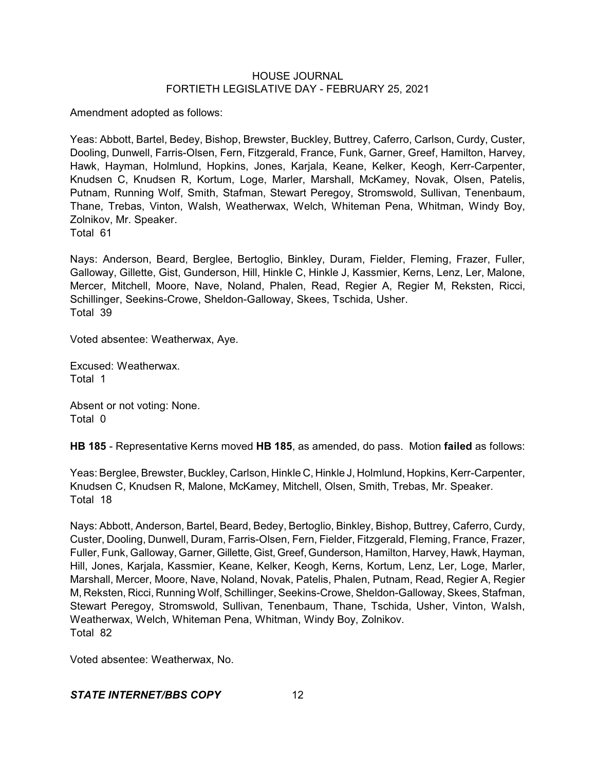Amendment adopted as follows:

Yeas: Abbott, Bartel, Bedey, Bishop, Brewster, Buckley, Buttrey, Caferro, Carlson, Curdy, Custer, Dooling, Dunwell, Farris-Olsen, Fern, Fitzgerald, France, Funk, Garner, Greef, Hamilton, Harvey, Hawk, Hayman, Holmlund, Hopkins, Jones, Karjala, Keane, Kelker, Keogh, Kerr-Carpenter, Knudsen C, Knudsen R, Kortum, Loge, Marler, Marshall, McKamey, Novak, Olsen, Patelis, Putnam, Running Wolf, Smith, Stafman, Stewart Peregoy, Stromswold, Sullivan, Tenenbaum, Thane, Trebas, Vinton, Walsh, Weatherwax, Welch, Whiteman Pena, Whitman, Windy Boy, Zolnikov, Mr. Speaker.

Total 61

Nays: Anderson, Beard, Berglee, Bertoglio, Binkley, Duram, Fielder, Fleming, Frazer, Fuller, Galloway, Gillette, Gist, Gunderson, Hill, Hinkle C, Hinkle J, Kassmier, Kerns, Lenz, Ler, Malone, Mercer, Mitchell, Moore, Nave, Noland, Phalen, Read, Regier A, Regier M, Reksten, Ricci, Schillinger, Seekins-Crowe, Sheldon-Galloway, Skees, Tschida, Usher. Total 39

Voted absentee: Weatherwax, Aye.

Excused: Weatherwax. Total 1

Absent or not voting: None. Total 0

**HB 185** - Representative Kerns moved **HB 185**, as amended, do pass. Motion **failed** as follows:

Yeas: Berglee, Brewster, Buckley, Carlson, Hinkle C, Hinkle J, Holmlund, Hopkins, Kerr-Carpenter, Knudsen C, Knudsen R, Malone, McKamey, Mitchell, Olsen, Smith, Trebas, Mr. Speaker. Total 18

Nays: Abbott, Anderson, Bartel, Beard, Bedey, Bertoglio, Binkley, Bishop, Buttrey, Caferro, Curdy, Custer, Dooling, Dunwell, Duram, Farris-Olsen, Fern, Fielder, Fitzgerald, Fleming, France, Frazer, Fuller, Funk, Galloway, Garner, Gillette, Gist, Greef,Gunderson, Hamilton, Harvey, Hawk, Hayman, Hill, Jones, Karjala, Kassmier, Keane, Kelker, Keogh, Kerns, Kortum, Lenz, Ler, Loge, Marler, Marshall, Mercer, Moore, Nave, Noland, Novak, Patelis, Phalen, Putnam, Read, Regier A, Regier M, Reksten, Ricci, Running Wolf, Schillinger, Seekins-Crowe, Sheldon-Galloway, Skees, Stafman, Stewart Peregoy, Stromswold, Sullivan, Tenenbaum, Thane, Tschida, Usher, Vinton, Walsh, Weatherwax, Welch, Whiteman Pena, Whitman, Windy Boy, Zolnikov. Total 82

Voted absentee: Weatherwax, No.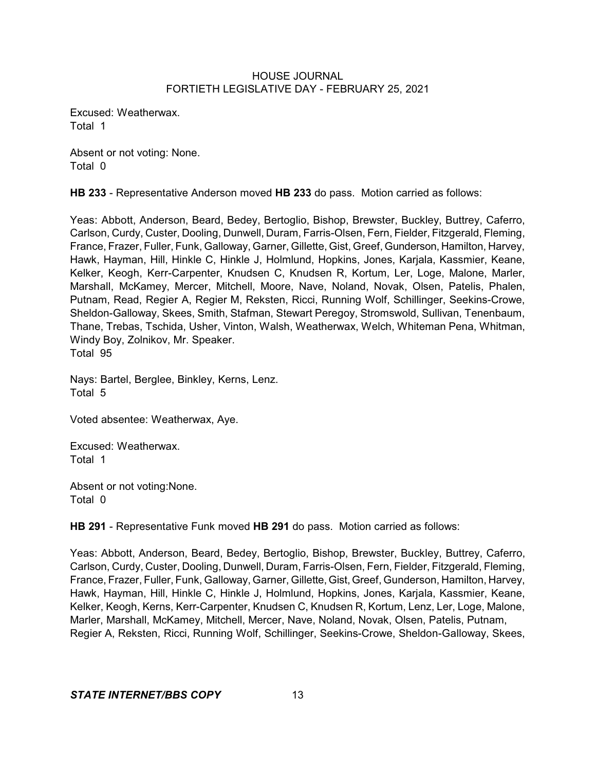Excused: Weatherwax. Total 1

Absent or not voting: None. Total 0

**HB 233** - Representative Anderson moved **HB 233** do pass. Motion carried as follows:

Yeas: Abbott, Anderson, Beard, Bedey, Bertoglio, Bishop, Brewster, Buckley, Buttrey, Caferro, Carlson, Curdy, Custer, Dooling, Dunwell, Duram, Farris-Olsen, Fern, Fielder, Fitzgerald, Fleming, France, Frazer, Fuller, Funk, Galloway, Garner, Gillette, Gist, Greef, Gunderson, Hamilton, Harvey, Hawk, Hayman, Hill, Hinkle C, Hinkle J, Holmlund, Hopkins, Jones, Karjala, Kassmier, Keane, Kelker, Keogh, Kerr-Carpenter, Knudsen C, Knudsen R, Kortum, Ler, Loge, Malone, Marler, Marshall, McKamey, Mercer, Mitchell, Moore, Nave, Noland, Novak, Olsen, Patelis, Phalen, Putnam, Read, Regier A, Regier M, Reksten, Ricci, Running Wolf, Schillinger, Seekins-Crowe, Sheldon-Galloway, Skees, Smith, Stafman, Stewart Peregoy, Stromswold, Sullivan, Tenenbaum, Thane, Trebas, Tschida, Usher, Vinton, Walsh, Weatherwax, Welch, Whiteman Pena, Whitman, Windy Boy, Zolnikov, Mr. Speaker. Total 95

Nays: Bartel, Berglee, Binkley, Kerns, Lenz. Total 5

Voted absentee: Weatherwax, Aye.

Excused: Weatherwax. Total 1

Absent or not voting:None. Total 0

**HB 291** - Representative Funk moved **HB 291** do pass. Motion carried as follows:

Yeas: Abbott, Anderson, Beard, Bedey, Bertoglio, Bishop, Brewster, Buckley, Buttrey, Caferro, Carlson, Curdy, Custer, Dooling, Dunwell, Duram, Farris-Olsen, Fern, Fielder, Fitzgerald, Fleming, France, Frazer, Fuller, Funk, Galloway, Garner, Gillette, Gist, Greef, Gunderson, Hamilton, Harvey, Hawk, Hayman, Hill, Hinkle C, Hinkle J, Holmlund, Hopkins, Jones, Karjala, Kassmier, Keane, Kelker, Keogh, Kerns, Kerr-Carpenter, Knudsen C, Knudsen R, Kortum, Lenz, Ler, Loge, Malone, Marler, Marshall, McKamey, Mitchell, Mercer, Nave, Noland, Novak, Olsen, Patelis, Putnam, Regier A, Reksten, Ricci, Running Wolf, Schillinger, Seekins-Crowe, Sheldon-Galloway, Skees,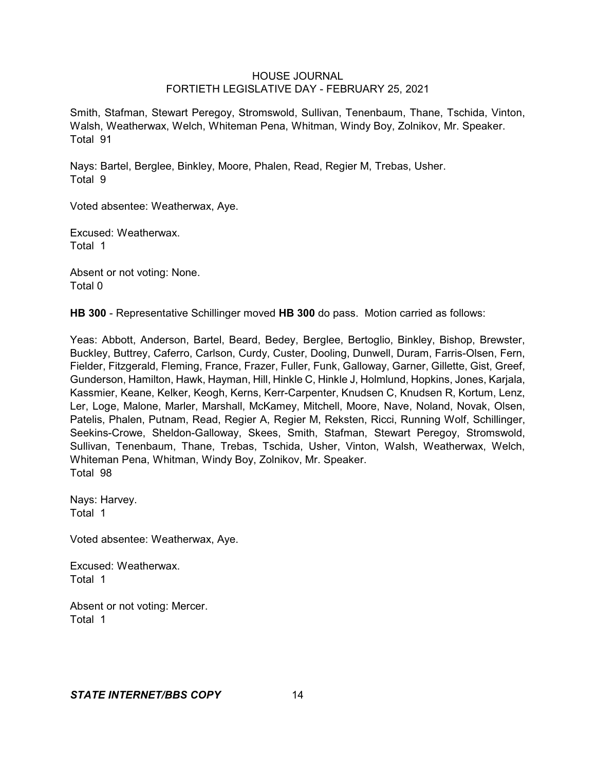Smith, Stafman, Stewart Peregoy, Stromswold, Sullivan, Tenenbaum, Thane, Tschida, Vinton, Walsh, Weatherwax, Welch, Whiteman Pena, Whitman, Windy Boy, Zolnikov, Mr. Speaker. Total 91

Nays: Bartel, Berglee, Binkley, Moore, Phalen, Read, Regier M, Trebas, Usher. Total 9

Voted absentee: Weatherwax, Aye.

Excused: Weatherwax. Total 1

Absent or not voting: None. Total 0

**HB 300** - Representative Schillinger moved **HB 300** do pass. Motion carried as follows:

Yeas: Abbott, Anderson, Bartel, Beard, Bedey, Berglee, Bertoglio, Binkley, Bishop, Brewster, Buckley, Buttrey, Caferro, Carlson, Curdy, Custer, Dooling, Dunwell, Duram, Farris-Olsen, Fern, Fielder, Fitzgerald, Fleming, France, Frazer, Fuller, Funk, Galloway, Garner, Gillette, Gist, Greef, Gunderson, Hamilton, Hawk, Hayman, Hill, Hinkle C, Hinkle J, Holmlund, Hopkins, Jones, Karjala, Kassmier, Keane, Kelker, Keogh, Kerns, Kerr-Carpenter, Knudsen C, Knudsen R, Kortum, Lenz, Ler, Loge, Malone, Marler, Marshall, McKamey, Mitchell, Moore, Nave, Noland, Novak, Olsen, Patelis, Phalen, Putnam, Read, Regier A, Regier M, Reksten, Ricci, Running Wolf, Schillinger, Seekins-Crowe, Sheldon-Galloway, Skees, Smith, Stafman, Stewart Peregoy, Stromswold, Sullivan, Tenenbaum, Thane, Trebas, Tschida, Usher, Vinton, Walsh, Weatherwax, Welch, Whiteman Pena, Whitman, Windy Boy, Zolnikov, Mr. Speaker. Total 98

Nays: Harvey. Total 1

Voted absentee: Weatherwax, Aye.

Excused: Weatherwax. Total 1

Absent or not voting: Mercer. Total 1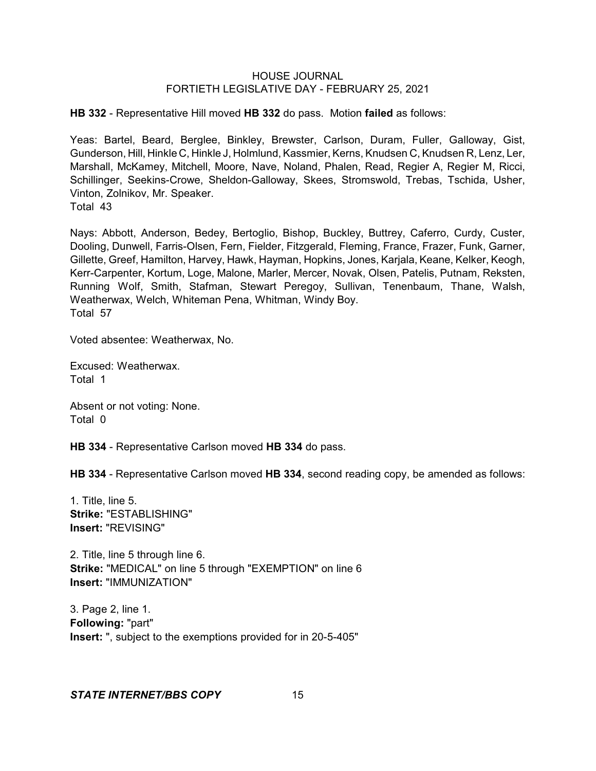**HB 332** - Representative Hill moved **HB 332** do pass. Motion **failed** as follows:

Yeas: Bartel, Beard, Berglee, Binkley, Brewster, Carlson, Duram, Fuller, Galloway, Gist, Gunderson, Hill, Hinkle C, Hinkle J, Holmlund, Kassmier, Kerns, Knudsen C, Knudsen R, Lenz, Ler, Marshall, McKamey, Mitchell, Moore, Nave, Noland, Phalen, Read, Regier A, Regier M, Ricci, Schillinger, Seekins-Crowe, Sheldon-Galloway, Skees, Stromswold, Trebas, Tschida, Usher, Vinton, Zolnikov, Mr. Speaker. Total 43

Nays: Abbott, Anderson, Bedey, Bertoglio, Bishop, Buckley, Buttrey, Caferro, Curdy, Custer, Dooling, Dunwell, Farris-Olsen, Fern, Fielder, Fitzgerald, Fleming, France, Frazer, Funk, Garner, Gillette, Greef, Hamilton, Harvey, Hawk, Hayman, Hopkins, Jones, Karjala, Keane, Kelker, Keogh, Kerr-Carpenter, Kortum, Loge, Malone, Marler, Mercer, Novak, Olsen, Patelis, Putnam, Reksten, Running Wolf, Smith, Stafman, Stewart Peregoy, Sullivan, Tenenbaum, Thane, Walsh, Weatherwax, Welch, Whiteman Pena, Whitman, Windy Boy.

Total 57

Voted absentee: Weatherwax, No.

Excused: Weatherwax. Total 1

Absent or not voting: None. Total 0

**HB 334** - Representative Carlson moved **HB 334** do pass.

**HB 334** - Representative Carlson moved **HB 334**, second reading copy, be amended as follows:

1. Title, line 5. **Strike:** "ESTABLISHING" **Insert:** "REVISING"

2. Title, line 5 through line 6. **Strike:** "MEDICAL" on line 5 through "EXEMPTION" on line 6 **Insert:** "IMMUNIZATION"

3. Page 2, line 1. **Following:** "part" **Insert:** ", subject to the exemptions provided for in 20-5-405"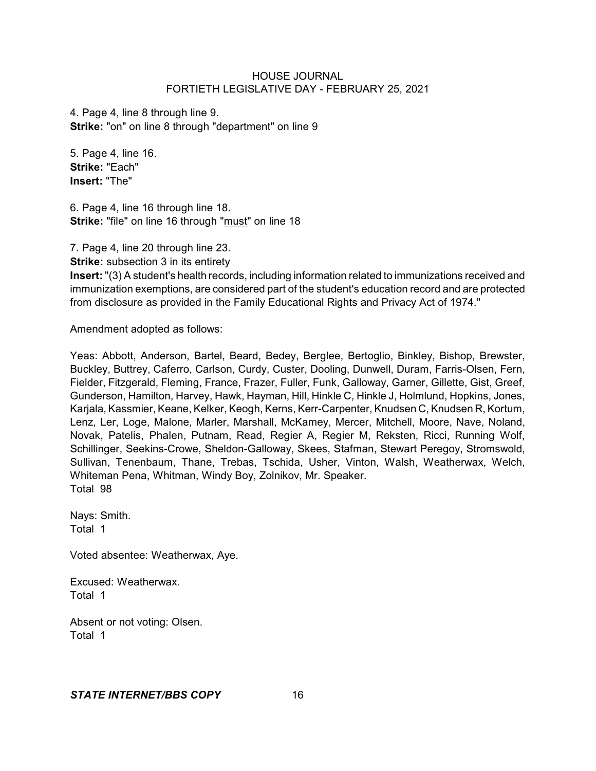4. Page 4, line 8 through line 9. **Strike:** "on" on line 8 through "department" on line 9

5. Page 4, line 16. **Strike:** "Each" **Insert:** "The"

6. Page 4, line 16 through line 18. **Strike:** "file" on line 16 through "must" on line 18

7. Page 4, line 20 through line 23.

**Strike:** subsection 3 in its entirety

**Insert:** "(3) A student's health records, including information related to immunizations received and immunization exemptions, are considered part of the student's education record and are protected from disclosure as provided in the Family Educational Rights and Privacy Act of 1974."

Amendment adopted as follows:

Yeas: Abbott, Anderson, Bartel, Beard, Bedey, Berglee, Bertoglio, Binkley, Bishop, Brewster, Buckley, Buttrey, Caferro, Carlson, Curdy, Custer, Dooling, Dunwell, Duram, Farris-Olsen, Fern, Fielder, Fitzgerald, Fleming, France, Frazer, Fuller, Funk, Galloway, Garner, Gillette, Gist, Greef, Gunderson, Hamilton, Harvey, Hawk, Hayman, Hill, Hinkle C, Hinkle J, Holmlund, Hopkins, Jones, Karjala, Kassmier, Keane, Kelker, Keogh, Kerns, Kerr-Carpenter, Knudsen C, Knudsen R, Kortum, Lenz, Ler, Loge, Malone, Marler, Marshall, McKamey, Mercer, Mitchell, Moore, Nave, Noland, Novak, Patelis, Phalen, Putnam, Read, Regier A, Regier M, Reksten, Ricci, Running Wolf, Schillinger, Seekins-Crowe, Sheldon-Galloway, Skees, Stafman, Stewart Peregoy, Stromswold, Sullivan, Tenenbaum, Thane, Trebas, Tschida, Usher, Vinton, Walsh, Weatherwax, Welch, Whiteman Pena, Whitman, Windy Boy, Zolnikov, Mr. Speaker. Total 98

Nays: Smith. Total 1

Voted absentee: Weatherwax, Aye.

Excused: Weatherwax. Total 1

Absent or not voting: Olsen. Total 1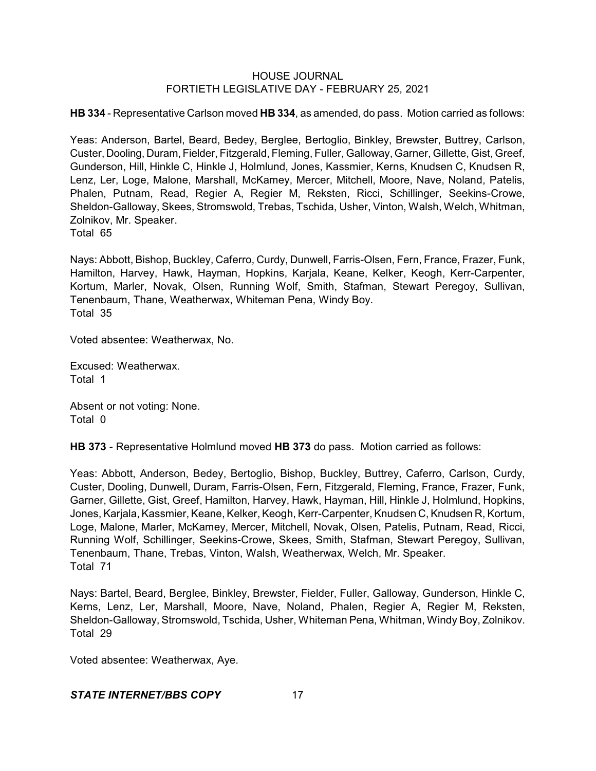**HB 334** - Representative Carlson moved **HB 334**, as amended, do pass. Motion carried as follows:

Yeas: Anderson, Bartel, Beard, Bedey, Berglee, Bertoglio, Binkley, Brewster, Buttrey, Carlson, Custer, Dooling, Duram, Fielder, Fitzgerald, Fleming, Fuller, Galloway, Garner, Gillette, Gist, Greef, Gunderson, Hill, Hinkle C, Hinkle J, Holmlund, Jones, Kassmier, Kerns, Knudsen C, Knudsen R, Lenz, Ler, Loge, Malone, Marshall, McKamey, Mercer, Mitchell, Moore, Nave, Noland, Patelis, Phalen, Putnam, Read, Regier A, Regier M, Reksten, Ricci, Schillinger, Seekins-Crowe, Sheldon-Galloway, Skees, Stromswold, Trebas, Tschida, Usher, Vinton, Walsh, Welch, Whitman, Zolnikov, Mr. Speaker.

Total 65

Nays: Abbott, Bishop, Buckley, Caferro, Curdy, Dunwell, Farris-Olsen, Fern, France, Frazer, Funk, Hamilton, Harvey, Hawk, Hayman, Hopkins, Karjala, Keane, Kelker, Keogh, Kerr-Carpenter, Kortum, Marler, Novak, Olsen, Running Wolf, Smith, Stafman, Stewart Peregoy, Sullivan, Tenenbaum, Thane, Weatherwax, Whiteman Pena, Windy Boy. Total 35

Voted absentee: Weatherwax, No.

Excused: Weatherwax. Total 1

Absent or not voting: None. Total 0

**HB 373** - Representative Holmlund moved **HB 373** do pass. Motion carried as follows:

Yeas: Abbott, Anderson, Bedey, Bertoglio, Bishop, Buckley, Buttrey, Caferro, Carlson, Curdy, Custer, Dooling, Dunwell, Duram, Farris-Olsen, Fern, Fitzgerald, Fleming, France, Frazer, Funk, Garner, Gillette, Gist, Greef, Hamilton, Harvey, Hawk, Hayman, Hill, Hinkle J, Holmlund, Hopkins, Jones, Karjala, Kassmier, Keane, Kelker, Keogh, Kerr-Carpenter, Knudsen C, Knudsen R, Kortum, Loge, Malone, Marler, McKamey, Mercer, Mitchell, Novak, Olsen, Patelis, Putnam, Read, Ricci, Running Wolf, Schillinger, Seekins-Crowe, Skees, Smith, Stafman, Stewart Peregoy, Sullivan, Tenenbaum, Thane, Trebas, Vinton, Walsh, Weatherwax, Welch, Mr. Speaker. Total 71

Nays: Bartel, Beard, Berglee, Binkley, Brewster, Fielder, Fuller, Galloway, Gunderson, Hinkle C, Kerns, Lenz, Ler, Marshall, Moore, Nave, Noland, Phalen, Regier A, Regier M, Reksten, Sheldon-Galloway, Stromswold, Tschida, Usher, Whiteman Pena, Whitman, Windy Boy, Zolnikov. Total 29

Voted absentee: Weatherwax, Aye.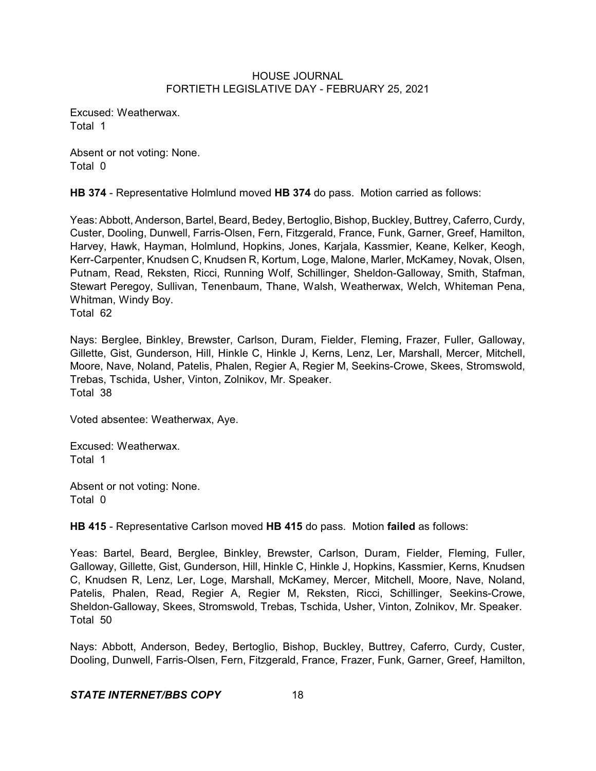Excused: Weatherwax. Total 1

Absent or not voting: None. Total 0

**HB 374** - Representative Holmlund moved **HB 374** do pass. Motion carried as follows:

Yeas: Abbott, Anderson, Bartel, Beard, Bedey, Bertoglio, Bishop, Buckley, Buttrey, Caferro, Curdy, Custer, Dooling, Dunwell, Farris-Olsen, Fern, Fitzgerald, France, Funk, Garner, Greef, Hamilton, Harvey, Hawk, Hayman, Holmlund, Hopkins, Jones, Karjala, Kassmier, Keane, Kelker, Keogh, Kerr-Carpenter, Knudsen C, Knudsen R, Kortum, Loge, Malone, Marler, McKamey, Novak, Olsen, Putnam, Read, Reksten, Ricci, Running Wolf, Schillinger, Sheldon-Galloway, Smith, Stafman, Stewart Peregoy, Sullivan, Tenenbaum, Thane, Walsh, Weatherwax, Welch, Whiteman Pena, Whitman, Windy Boy.

Total 62

Nays: Berglee, Binkley, Brewster, Carlson, Duram, Fielder, Fleming, Frazer, Fuller, Galloway, Gillette, Gist, Gunderson, Hill, Hinkle C, Hinkle J, Kerns, Lenz, Ler, Marshall, Mercer, Mitchell, Moore, Nave, Noland, Patelis, Phalen, Regier A, Regier M, Seekins-Crowe, Skees, Stromswold, Trebas, Tschida, Usher, Vinton, Zolnikov, Mr. Speaker. Total 38

Voted absentee: Weatherwax, Aye.

Excused: Weatherwax. Total 1

Absent or not voting: None. Total 0

**HB 415** - Representative Carlson moved **HB 415** do pass. Motion **failed** as follows:

Yeas: Bartel, Beard, Berglee, Binkley, Brewster, Carlson, Duram, Fielder, Fleming, Fuller, Galloway, Gillette, Gist, Gunderson, Hill, Hinkle C, Hinkle J, Hopkins, Kassmier, Kerns, Knudsen C, Knudsen R, Lenz, Ler, Loge, Marshall, McKamey, Mercer, Mitchell, Moore, Nave, Noland, Patelis, Phalen, Read, Regier A, Regier M, Reksten, Ricci, Schillinger, Seekins-Crowe, Sheldon-Galloway, Skees, Stromswold, Trebas, Tschida, Usher, Vinton, Zolnikov, Mr. Speaker. Total 50

Nays: Abbott, Anderson, Bedey, Bertoglio, Bishop, Buckley, Buttrey, Caferro, Curdy, Custer, Dooling, Dunwell, Farris-Olsen, Fern, Fitzgerald, France, Frazer, Funk, Garner, Greef, Hamilton,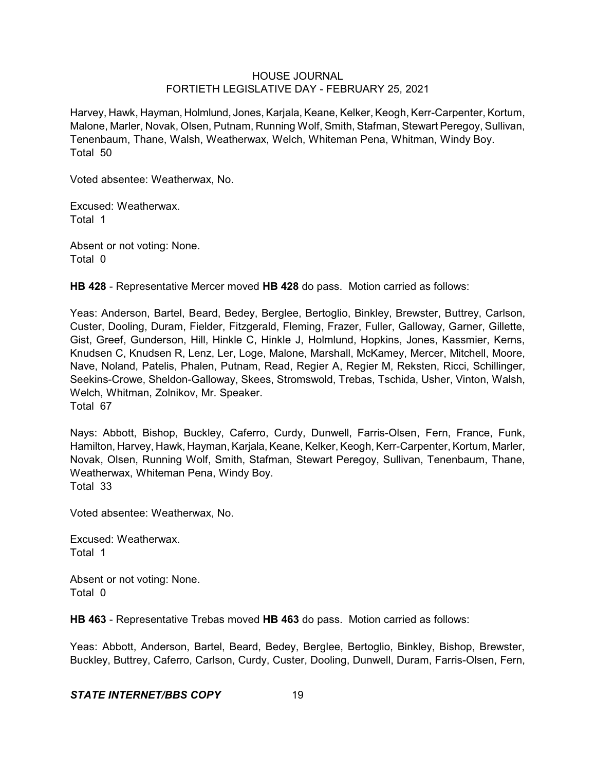Harvey, Hawk, Hayman, Holmlund, Jones, Karjala, Keane, Kelker, Keogh, Kerr-Carpenter, Kortum, Malone, Marler, Novak, Olsen, Putnam, Running Wolf, Smith, Stafman, Stewart Peregoy, Sullivan, Tenenbaum, Thane, Walsh, Weatherwax, Welch, Whiteman Pena, Whitman, Windy Boy. Total 50

Voted absentee: Weatherwax, No.

Excused: Weatherwax. Total 1

Absent or not voting: None. Total 0

**HB 428** - Representative Mercer moved **HB 428** do pass. Motion carried as follows:

Yeas: Anderson, Bartel, Beard, Bedey, Berglee, Bertoglio, Binkley, Brewster, Buttrey, Carlson, Custer, Dooling, Duram, Fielder, Fitzgerald, Fleming, Frazer, Fuller, Galloway, Garner, Gillette, Gist, Greef, Gunderson, Hill, Hinkle C, Hinkle J, Holmlund, Hopkins, Jones, Kassmier, Kerns, Knudsen C, Knudsen R, Lenz, Ler, Loge, Malone, Marshall, McKamey, Mercer, Mitchell, Moore, Nave, Noland, Patelis, Phalen, Putnam, Read, Regier A, Regier M, Reksten, Ricci, Schillinger, Seekins-Crowe, Sheldon-Galloway, Skees, Stromswold, Trebas, Tschida, Usher, Vinton, Walsh, Welch, Whitman, Zolnikov, Mr. Speaker. Total 67

Nays: Abbott, Bishop, Buckley, Caferro, Curdy, Dunwell, Farris-Olsen, Fern, France, Funk, Hamilton, Harvey, Hawk, Hayman, Karjala, Keane, Kelker, Keogh, Kerr-Carpenter, Kortum, Marler, Novak, Olsen, Running Wolf, Smith, Stafman, Stewart Peregoy, Sullivan, Tenenbaum, Thane, Weatherwax, Whiteman Pena, Windy Boy. Total 33

Voted absentee: Weatherwax, No.

Excused: Weatherwax. Total 1

Absent or not voting: None. Total 0

**HB 463** - Representative Trebas moved **HB 463** do pass. Motion carried as follows:

Yeas: Abbott, Anderson, Bartel, Beard, Bedey, Berglee, Bertoglio, Binkley, Bishop, Brewster, Buckley, Buttrey, Caferro, Carlson, Curdy, Custer, Dooling, Dunwell, Duram, Farris-Olsen, Fern,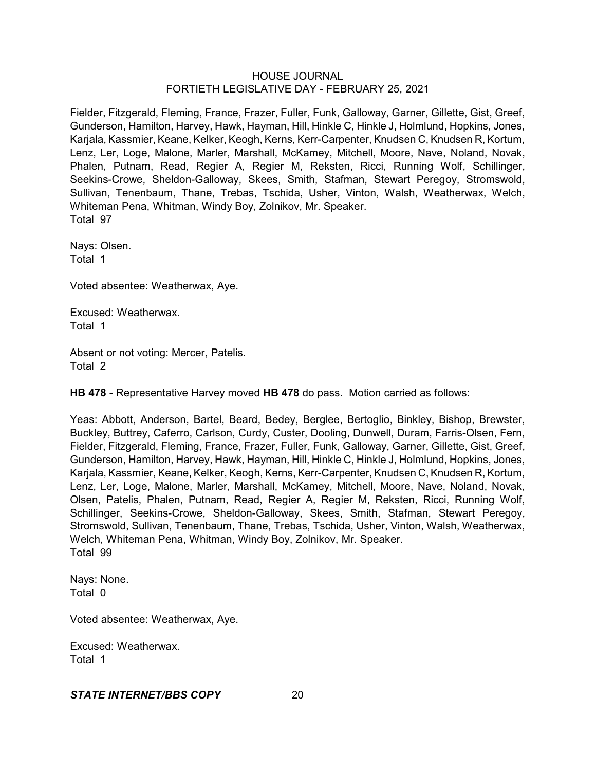Fielder, Fitzgerald, Fleming, France, Frazer, Fuller, Funk, Galloway, Garner, Gillette, Gist, Greef, Gunderson, Hamilton, Harvey, Hawk, Hayman, Hill, Hinkle C, Hinkle J, Holmlund, Hopkins, Jones, Karjala, Kassmier, Keane, Kelker, Keogh, Kerns, Kerr-Carpenter, Knudsen C, Knudsen R, Kortum, Lenz, Ler, Loge, Malone, Marler, Marshall, McKamey, Mitchell, Moore, Nave, Noland, Novak, Phalen, Putnam, Read, Regier A, Regier M, Reksten, Ricci, Running Wolf, Schillinger, Seekins-Crowe, Sheldon-Galloway, Skees, Smith, Stafman, Stewart Peregoy, Stromswold, Sullivan, Tenenbaum, Thane, Trebas, Tschida, Usher, Vinton, Walsh, Weatherwax, Welch, Whiteman Pena, Whitman, Windy Boy, Zolnikov, Mr. Speaker. Total 97

Nays: Olsen. Total 1

Voted absentee: Weatherwax, Aye.

Excused: Weatherwax. Total 1

Absent or not voting: Mercer, Patelis. Total 2

**HB 478** - Representative Harvey moved **HB 478** do pass. Motion carried as follows:

Yeas: Abbott, Anderson, Bartel, Beard, Bedey, Berglee, Bertoglio, Binkley, Bishop, Brewster, Buckley, Buttrey, Caferro, Carlson, Curdy, Custer, Dooling, Dunwell, Duram, Farris-Olsen, Fern, Fielder, Fitzgerald, Fleming, France, Frazer, Fuller, Funk, Galloway, Garner, Gillette, Gist, Greef, Gunderson, Hamilton, Harvey, Hawk, Hayman, Hill, Hinkle C, Hinkle J, Holmlund, Hopkins, Jones, Karjala, Kassmier, Keane, Kelker, Keogh, Kerns, Kerr-Carpenter, Knudsen C, Knudsen R, Kortum, Lenz, Ler, Loge, Malone, Marler, Marshall, McKamey, Mitchell, Moore, Nave, Noland, Novak, Olsen, Patelis, Phalen, Putnam, Read, Regier A, Regier M, Reksten, Ricci, Running Wolf, Schillinger, Seekins-Crowe, Sheldon-Galloway, Skees, Smith, Stafman, Stewart Peregoy, Stromswold, Sullivan, Tenenbaum, Thane, Trebas, Tschida, Usher, Vinton, Walsh, Weatherwax, Welch, Whiteman Pena, Whitman, Windy Boy, Zolnikov, Mr. Speaker. Total 99

Nays: None. Total 0

Voted absentee: Weatherwax, Aye.

Excused: Weatherwax. Total 1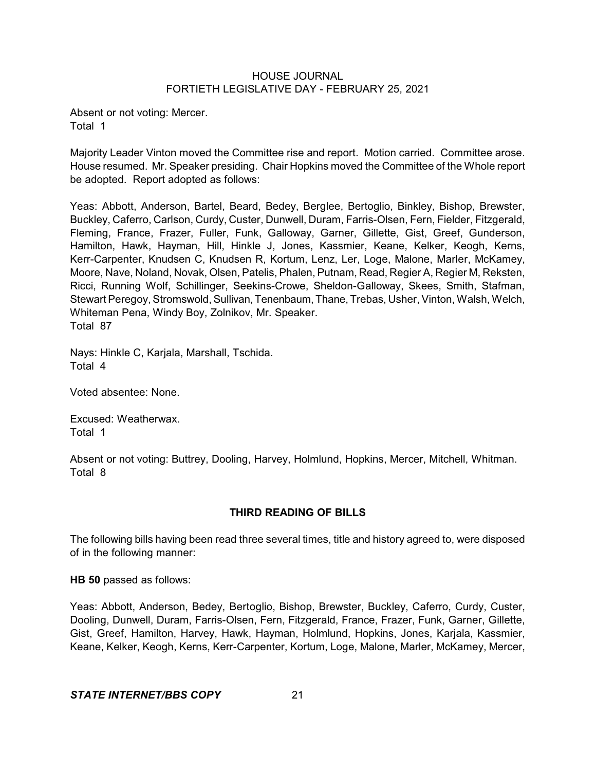Absent or not voting: Mercer. Total 1

Majority Leader Vinton moved the Committee rise and report. Motion carried. Committee arose. House resumed. Mr. Speaker presiding. Chair Hopkins moved the Committee of the Whole report be adopted. Report adopted as follows:

Yeas: Abbott, Anderson, Bartel, Beard, Bedey, Berglee, Bertoglio, Binkley, Bishop, Brewster, Buckley, Caferro, Carlson, Curdy, Custer, Dunwell, Duram, Farris-Olsen, Fern, Fielder, Fitzgerald, Fleming, France, Frazer, Fuller, Funk, Galloway, Garner, Gillette, Gist, Greef, Gunderson, Hamilton, Hawk, Hayman, Hill, Hinkle J, Jones, Kassmier, Keane, Kelker, Keogh, Kerns, Kerr-Carpenter, Knudsen C, Knudsen R, Kortum, Lenz, Ler, Loge, Malone, Marler, McKamey, Moore, Nave, Noland, Novak, Olsen, Patelis, Phalen, Putnam, Read, Regier A, Regier M, Reksten, Ricci, Running Wolf, Schillinger, Seekins-Crowe, Sheldon-Galloway, Skees, Smith, Stafman, Stewart Peregoy, Stromswold, Sullivan, Tenenbaum, Thane, Trebas, Usher, Vinton, Walsh, Welch, Whiteman Pena, Windy Boy, Zolnikov, Mr. Speaker. Total 87

Nays: Hinkle C, Karjala, Marshall, Tschida. Total 4

Voted absentee: None.

Excused: Weatherwax. Total 1

Absent or not voting: Buttrey, Dooling, Harvey, Holmlund, Hopkins, Mercer, Mitchell, Whitman. Total 8

## **THIRD READING OF BILLS**

The following bills having been read three several times, title and history agreed to, were disposed of in the following manner:

**HB 50** passed as follows:

Yeas: Abbott, Anderson, Bedey, Bertoglio, Bishop, Brewster, Buckley, Caferro, Curdy, Custer, Dooling, Dunwell, Duram, Farris-Olsen, Fern, Fitzgerald, France, Frazer, Funk, Garner, Gillette, Gist, Greef, Hamilton, Harvey, Hawk, Hayman, Holmlund, Hopkins, Jones, Karjala, Kassmier, Keane, Kelker, Keogh, Kerns, Kerr-Carpenter, Kortum, Loge, Malone, Marler, McKamey, Mercer,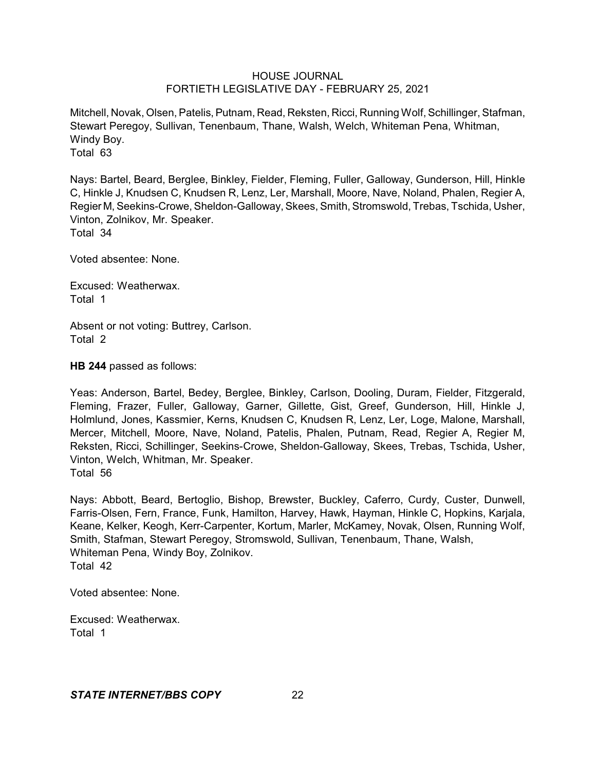Mitchell, Novak, Olsen, Patelis, Putnam, Read, Reksten, Ricci, Running Wolf, Schillinger, Stafman, Stewart Peregoy, Sullivan, Tenenbaum, Thane, Walsh, Welch, Whiteman Pena, Whitman, Windy Boy. Total 63

Nays: Bartel, Beard, Berglee, Binkley, Fielder, Fleming, Fuller, Galloway, Gunderson, Hill, Hinkle C, Hinkle J, Knudsen C, Knudsen R, Lenz, Ler, Marshall, Moore, Nave, Noland, Phalen, Regier A, Regier M, Seekins-Crowe, Sheldon-Galloway,Skees, Smith, Stromswold, Trebas, Tschida, Usher, Vinton, Zolnikov, Mr. Speaker. Total 34

Voted absentee: None.

Excused: Weatherwax. Total 1

Absent or not voting: Buttrey, Carlson. Total 2

**HB 244** passed as follows:

Yeas: Anderson, Bartel, Bedey, Berglee, Binkley, Carlson, Dooling, Duram, Fielder, Fitzgerald, Fleming, Frazer, Fuller, Galloway, Garner, Gillette, Gist, Greef, Gunderson, Hill, Hinkle J, Holmlund, Jones, Kassmier, Kerns, Knudsen C, Knudsen R, Lenz, Ler, Loge, Malone, Marshall, Mercer, Mitchell, Moore, Nave, Noland, Patelis, Phalen, Putnam, Read, Regier A, Regier M, Reksten, Ricci, Schillinger, Seekins-Crowe, Sheldon-Galloway, Skees, Trebas, Tschida, Usher, Vinton, Welch, Whitman, Mr. Speaker. Total 56

Nays: Abbott, Beard, Bertoglio, Bishop, Brewster, Buckley, Caferro, Curdy, Custer, Dunwell, Farris-Olsen, Fern, France, Funk, Hamilton, Harvey, Hawk, Hayman, Hinkle C, Hopkins, Karjala, Keane, Kelker, Keogh, Kerr-Carpenter, Kortum, Marler, McKamey, Novak, Olsen, Running Wolf, Smith, Stafman, Stewart Peregoy, Stromswold, Sullivan, Tenenbaum, Thane, Walsh, Whiteman Pena, Windy Boy, Zolnikov. Total 42

Voted absentee: None.

Excused: Weatherwax. Total 1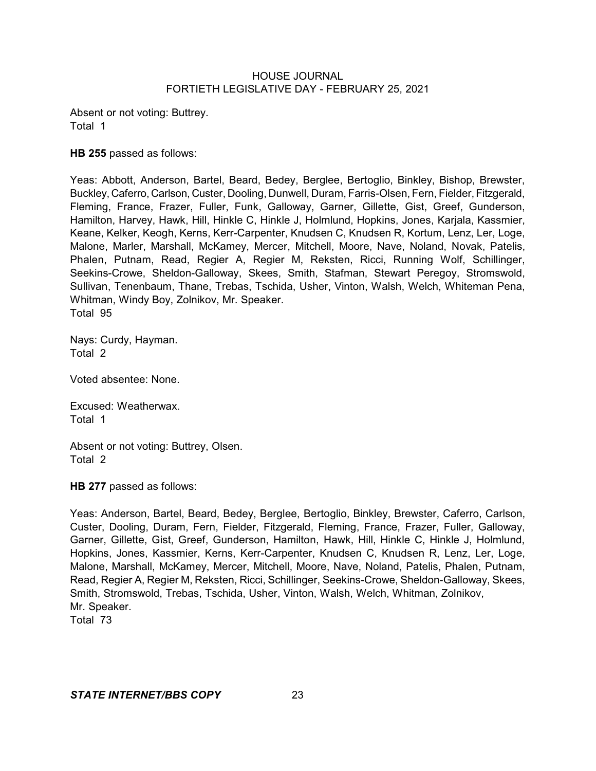Absent or not voting: Buttrey. Total 1

# **HB 255** passed as follows:

Yeas: Abbott, Anderson, Bartel, Beard, Bedey, Berglee, Bertoglio, Binkley, Bishop, Brewster, Buckley, Caferro, Carlson, Custer, Dooling, Dunwell, Duram, Farris-Olsen, Fern, Fielder, Fitzgerald, Fleming, France, Frazer, Fuller, Funk, Galloway, Garner, Gillette, Gist, Greef, Gunderson, Hamilton, Harvey, Hawk, Hill, Hinkle C, Hinkle J, Holmlund, Hopkins, Jones, Karjala, Kassmier, Keane, Kelker, Keogh, Kerns, Kerr-Carpenter, Knudsen C, Knudsen R, Kortum, Lenz, Ler, Loge, Malone, Marler, Marshall, McKamey, Mercer, Mitchell, Moore, Nave, Noland, Novak, Patelis, Phalen, Putnam, Read, Regier A, Regier M, Reksten, Ricci, Running Wolf, Schillinger, Seekins-Crowe, Sheldon-Galloway, Skees, Smith, Stafman, Stewart Peregoy, Stromswold, Sullivan, Tenenbaum, Thane, Trebas, Tschida, Usher, Vinton, Walsh, Welch, Whiteman Pena, Whitman, Windy Boy, Zolnikov, Mr. Speaker. Total 95

Nays: Curdy, Hayman. Total 2

Voted absentee: None.

Excused: Weatherwax. Total 1

Absent or not voting: Buttrey, Olsen. Total 2

**HB 277** passed as follows:

Yeas: Anderson, Bartel, Beard, Bedey, Berglee, Bertoglio, Binkley, Brewster, Caferro, Carlson, Custer, Dooling, Duram, Fern, Fielder, Fitzgerald, Fleming, France, Frazer, Fuller, Galloway, Garner, Gillette, Gist, Greef, Gunderson, Hamilton, Hawk, Hill, Hinkle C, Hinkle J, Holmlund, Hopkins, Jones, Kassmier, Kerns, Kerr-Carpenter, Knudsen C, Knudsen R, Lenz, Ler, Loge, Malone, Marshall, McKamey, Mercer, Mitchell, Moore, Nave, Noland, Patelis, Phalen, Putnam, Read, Regier A, Regier M, Reksten, Ricci, Schillinger, Seekins-Crowe, Sheldon-Galloway, Skees, Smith, Stromswold, Trebas, Tschida, Usher, Vinton, Walsh, Welch, Whitman, Zolnikov, Mr. Speaker. Total 73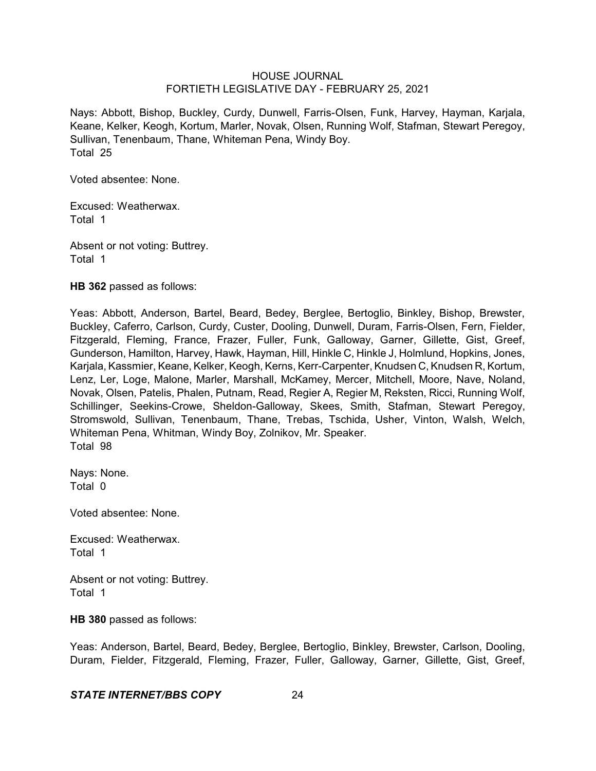Nays: Abbott, Bishop, Buckley, Curdy, Dunwell, Farris-Olsen, Funk, Harvey, Hayman, Karjala, Keane, Kelker, Keogh, Kortum, Marler, Novak, Olsen, Running Wolf, Stafman, Stewart Peregoy, Sullivan, Tenenbaum, Thane, Whiteman Pena, Windy Boy. Total 25

Voted absentee: None.

Excused: Weatherwax. Total 1

Absent or not voting: Buttrey. Total 1

**HB 362** passed as follows:

Yeas: Abbott, Anderson, Bartel, Beard, Bedey, Berglee, Bertoglio, Binkley, Bishop, Brewster, Buckley, Caferro, Carlson, Curdy, Custer, Dooling, Dunwell, Duram, Farris-Olsen, Fern, Fielder, Fitzgerald, Fleming, France, Frazer, Fuller, Funk, Galloway, Garner, Gillette, Gist, Greef, Gunderson, Hamilton, Harvey, Hawk, Hayman, Hill, Hinkle C, Hinkle J, Holmlund, Hopkins, Jones, Karjala, Kassmier, Keane, Kelker, Keogh, Kerns, Kerr-Carpenter, Knudsen C, Knudsen R, Kortum, Lenz, Ler, Loge, Malone, Marler, Marshall, McKamey, Mercer, Mitchell, Moore, Nave, Noland, Novak, Olsen, Patelis, Phalen, Putnam, Read, Regier A, Regier M, Reksten, Ricci, Running Wolf, Schillinger, Seekins-Crowe, Sheldon-Galloway, Skees, Smith, Stafman, Stewart Peregoy, Stromswold, Sullivan, Tenenbaum, Thane, Trebas, Tschida, Usher, Vinton, Walsh, Welch, Whiteman Pena, Whitman, Windy Boy, Zolnikov, Mr. Speaker. Total 98

Nays: None. Total 0

Voted absentee: None.

Excused: Weatherwax. Total 1

Absent or not voting: Buttrey. Total 1

**HB 380** passed as follows:

Yeas: Anderson, Bartel, Beard, Bedey, Berglee, Bertoglio, Binkley, Brewster, Carlson, Dooling, Duram, Fielder, Fitzgerald, Fleming, Frazer, Fuller, Galloway, Garner, Gillette, Gist, Greef,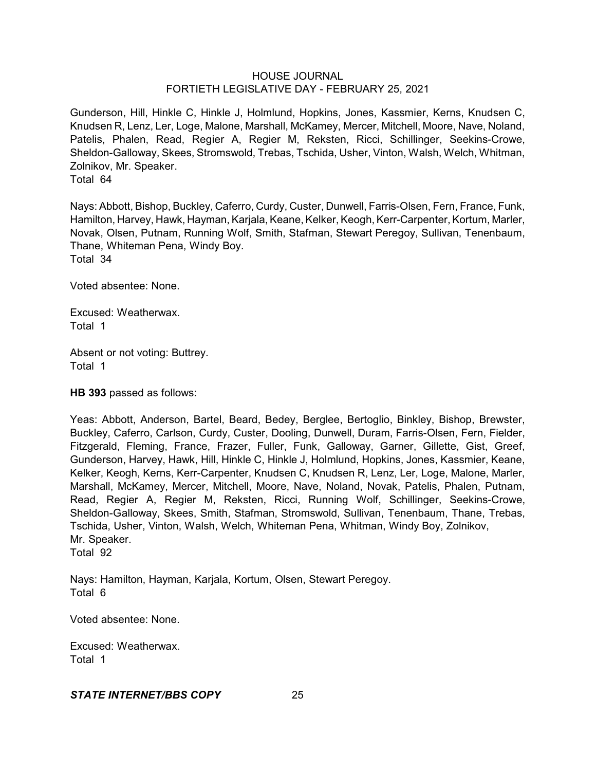Gunderson, Hill, Hinkle C, Hinkle J, Holmlund, Hopkins, Jones, Kassmier, Kerns, Knudsen C, Knudsen R, Lenz, Ler, Loge, Malone, Marshall, McKamey, Mercer, Mitchell, Moore, Nave, Noland, Patelis, Phalen, Read, Regier A, Regier M, Reksten, Ricci, Schillinger, Seekins-Crowe, Sheldon-Galloway, Skees, Stromswold, Trebas, Tschida, Usher, Vinton, Walsh, Welch, Whitman, Zolnikov, Mr. Speaker. Total 64

Nays: Abbott, Bishop, Buckley, Caferro, Curdy, Custer, Dunwell, Farris-Olsen, Fern, France, Funk, Hamilton, Harvey, Hawk, Hayman, Karjala, Keane, Kelker, Keogh, Kerr-Carpenter, Kortum, Marler, Novak, Olsen, Putnam, Running Wolf, Smith, Stafman, Stewart Peregoy, Sullivan, Tenenbaum, Thane, Whiteman Pena, Windy Boy. Total 34

Voted absentee: None.

Excused: Weatherwax. Total 1

Absent or not voting: Buttrey. Total 1

**HB 393** passed as follows:

Yeas: Abbott, Anderson, Bartel, Beard, Bedey, Berglee, Bertoglio, Binkley, Bishop, Brewster, Buckley, Caferro, Carlson, Curdy, Custer, Dooling, Dunwell, Duram, Farris-Olsen, Fern, Fielder, Fitzgerald, Fleming, France, Frazer, Fuller, Funk, Galloway, Garner, Gillette, Gist, Greef, Gunderson, Harvey, Hawk, Hill, Hinkle C, Hinkle J, Holmlund, Hopkins, Jones, Kassmier, Keane, Kelker, Keogh, Kerns, Kerr-Carpenter, Knudsen C, Knudsen R, Lenz, Ler, Loge, Malone, Marler, Marshall, McKamey, Mercer, Mitchell, Moore, Nave, Noland, Novak, Patelis, Phalen, Putnam, Read, Regier A, Regier M, Reksten, Ricci, Running Wolf, Schillinger, Seekins-Crowe, Sheldon-Galloway, Skees, Smith, Stafman, Stromswold, Sullivan, Tenenbaum, Thane, Trebas, Tschida, Usher, Vinton, Walsh, Welch, Whiteman Pena, Whitman, Windy Boy, Zolnikov, Mr. Speaker.

Total 92

Nays: Hamilton, Hayman, Karjala, Kortum, Olsen, Stewart Peregoy. Total 6

Voted absentee: None.

Excused: Weatherwax. Total 1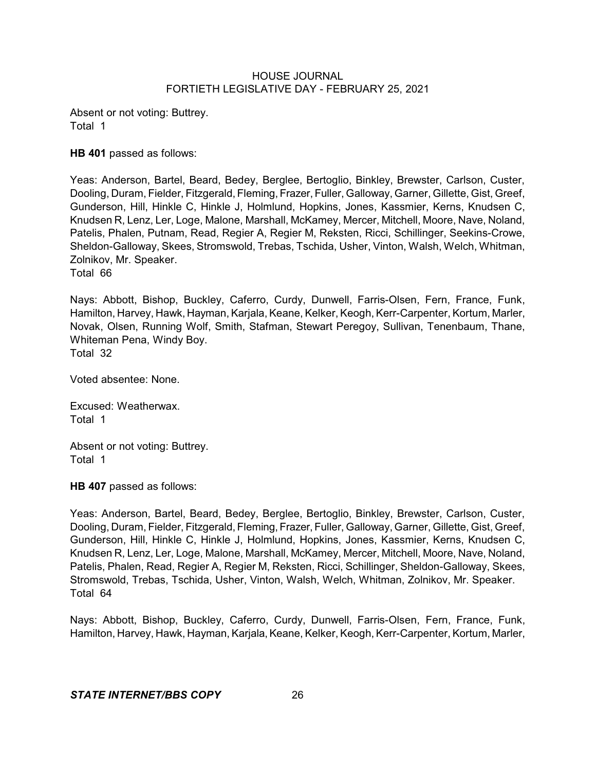Absent or not voting: Buttrey. Total 1

**HB 401** passed as follows:

Yeas: Anderson, Bartel, Beard, Bedey, Berglee, Bertoglio, Binkley, Brewster, Carlson, Custer, Dooling, Duram, Fielder, Fitzgerald, Fleming, Frazer, Fuller, Galloway, Garner, Gillette, Gist, Greef, Gunderson, Hill, Hinkle C, Hinkle J, Holmlund, Hopkins, Jones, Kassmier, Kerns, Knudsen C, Knudsen R, Lenz, Ler, Loge, Malone, Marshall, McKamey, Mercer, Mitchell, Moore, Nave, Noland, Patelis, Phalen, Putnam, Read, Regier A, Regier M, Reksten, Ricci, Schillinger, Seekins-Crowe, Sheldon-Galloway, Skees, Stromswold, Trebas, Tschida, Usher, Vinton, Walsh, Welch, Whitman, Zolnikov, Mr. Speaker. Total 66

Nays: Abbott, Bishop, Buckley, Caferro, Curdy, Dunwell, Farris-Olsen, Fern, France, Funk, Hamilton, Harvey, Hawk, Hayman, Karjala, Keane, Kelker, Keogh, Kerr-Carpenter, Kortum, Marler, Novak, Olsen, Running Wolf, Smith, Stafman, Stewart Peregoy, Sullivan, Tenenbaum, Thane, Whiteman Pena, Windy Boy.

Total 32

Voted absentee: None.

Excused: Weatherwax. Total 1

Absent or not voting: Buttrey. Total 1

**HB 407** passed as follows:

Yeas: Anderson, Bartel, Beard, Bedey, Berglee, Bertoglio, Binkley, Brewster, Carlson, Custer, Dooling, Duram, Fielder, Fitzgerald, Fleming, Frazer, Fuller, Galloway, Garner, Gillette, Gist, Greef, Gunderson, Hill, Hinkle C, Hinkle J, Holmlund, Hopkins, Jones, Kassmier, Kerns, Knudsen C, Knudsen R, Lenz, Ler, Loge, Malone, Marshall, McKamey, Mercer, Mitchell, Moore, Nave, Noland, Patelis, Phalen, Read, Regier A, Regier M, Reksten, Ricci, Schillinger, Sheldon-Galloway, Skees, Stromswold, Trebas, Tschida, Usher, Vinton, Walsh, Welch, Whitman, Zolnikov, Mr. Speaker. Total 64

Nays: Abbott, Bishop, Buckley, Caferro, Curdy, Dunwell, Farris-Olsen, Fern, France, Funk, Hamilton, Harvey, Hawk, Hayman, Karjala, Keane, Kelker, Keogh, Kerr-Carpenter, Kortum, Marler,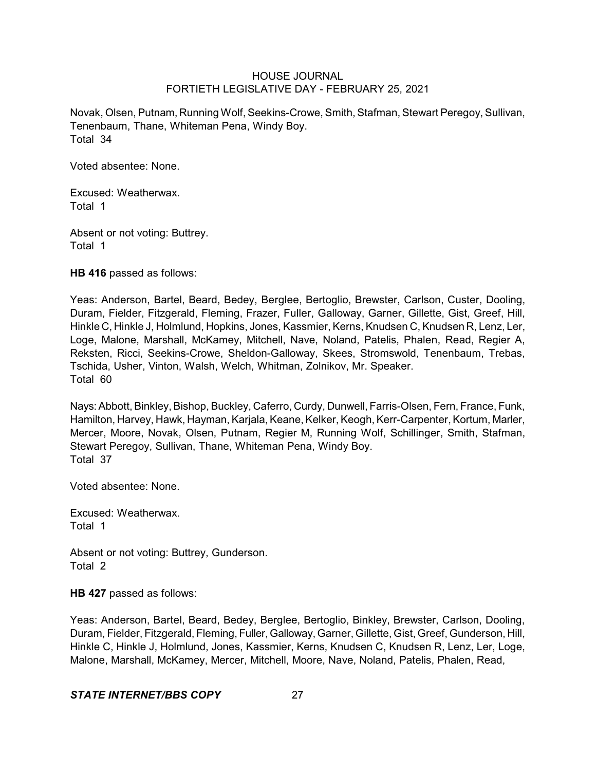Novak, Olsen, Putnam, Running Wolf, Seekins-Crowe, Smith, Stafman, Stewart Peregoy, Sullivan, Tenenbaum, Thane, Whiteman Pena, Windy Boy. Total 34

Voted absentee: None.

Excused: Weatherwax. Total 1

Absent or not voting: Buttrey. Total 1

**HB 416** passed as follows:

Yeas: Anderson, Bartel, Beard, Bedey, Berglee, Bertoglio, Brewster, Carlson, Custer, Dooling, Duram, Fielder, Fitzgerald, Fleming, Frazer, Fuller, Galloway, Garner, Gillette, Gist, Greef, Hill, Hinkle C, Hinkle J, Holmlund, Hopkins, Jones, Kassmier, Kerns, Knudsen C, Knudsen R, Lenz, Ler, Loge, Malone, Marshall, McKamey, Mitchell, Nave, Noland, Patelis, Phalen, Read, Regier A, Reksten, Ricci, Seekins-Crowe, Sheldon-Galloway, Skees, Stromswold, Tenenbaum, Trebas, Tschida, Usher, Vinton, Walsh, Welch, Whitman, Zolnikov, Mr. Speaker. Total 60

Nays:Abbott, Binkley, Bishop, Buckley, Caferro, Curdy, Dunwell, Farris-Olsen, Fern, France, Funk, Hamilton, Harvey, Hawk, Hayman, Karjala, Keane, Kelker, Keogh, Kerr-Carpenter, Kortum, Marler, Mercer, Moore, Novak, Olsen, Putnam, Regier M, Running Wolf, Schillinger, Smith, Stafman, Stewart Peregoy, Sullivan, Thane, Whiteman Pena, Windy Boy. Total 37

Voted absentee: None.

Excused: Weatherwax. Total 1

Absent or not voting: Buttrey, Gunderson. Total 2

**HB 427** passed as follows:

Yeas: Anderson, Bartel, Beard, Bedey, Berglee, Bertoglio, Binkley, Brewster, Carlson, Dooling, Duram, Fielder, Fitzgerald, Fleming, Fuller, Galloway, Garner, Gillette, Gist, Greef, Gunderson, Hill, Hinkle C, Hinkle J, Holmlund, Jones, Kassmier, Kerns, Knudsen C, Knudsen R, Lenz, Ler, Loge, Malone, Marshall, McKamey, Mercer, Mitchell, Moore, Nave, Noland, Patelis, Phalen, Read,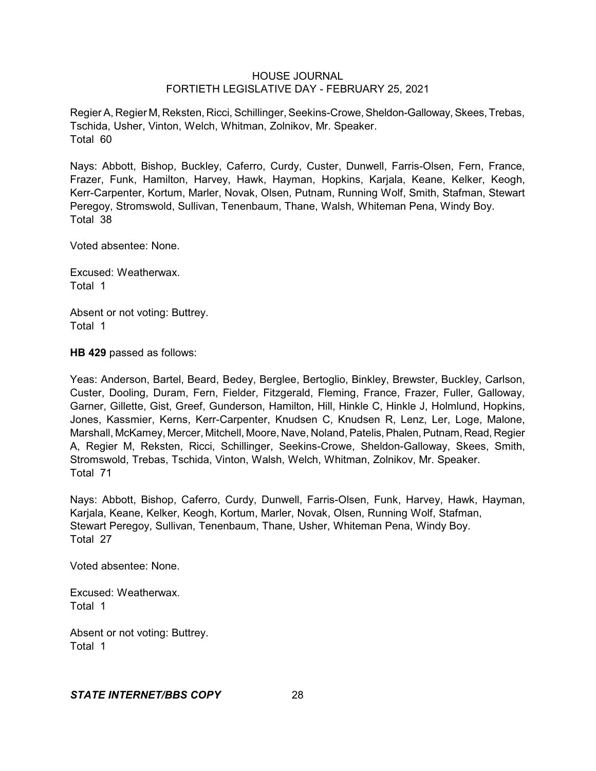Regier A, Regier M, Reksten, Ricci, Schillinger, Seekins-Crowe, Sheldon-Galloway, Skees, Trebas, Tschida, Usher, Vinton, Welch, Whitman, Zolnikov, Mr. Speaker. Total 60

Nays: Abbott, Bishop, Buckley, Caferro, Curdy, Custer, Dunwell, Farris-Olsen, Fern, France, Frazer, Funk, Hamilton, Harvey, Hawk, Hayman, Hopkins, Karjala, Keane, Kelker, Keogh, Kerr-Carpenter, Kortum, Marler, Novak, Olsen, Putnam, Running Wolf, Smith, Stafman, Stewart Peregoy, Stromswold, Sullivan, Tenenbaum, Thane, Walsh, Whiteman Pena, Windy Boy. Total 38

Voted absentee: None.

Excused: Weatherwax. Total 1

Absent or not voting: Buttrey. Total 1

**HB 429** passed as follows:

Yeas: Anderson, Bartel, Beard, Bedey, Berglee, Bertoglio, Binkley, Brewster, Buckley, Carlson, Custer, Dooling, Duram, Fern, Fielder, Fitzgerald, Fleming, France, Frazer, Fuller, Galloway, Garner, Gillette, Gist, Greef, Gunderson, Hamilton, Hill, Hinkle C, Hinkle J, Holmlund, Hopkins, Jones, Kassmier, Kerns, Kerr-Carpenter, Knudsen C, Knudsen R, Lenz, Ler, Loge, Malone, Marshall, McKamey, Mercer, Mitchell, Moore, Nave, Noland, Patelis, Phalen, Putnam, Read, Regier A, Regier M, Reksten, Ricci, Schillinger, Seekins-Crowe, Sheldon-Galloway, Skees, Smith, Stromswold, Trebas, Tschida, Vinton, Walsh, Welch, Whitman, Zolnikov, Mr. Speaker. Total 71

Nays: Abbott, Bishop, Caferro, Curdy, Dunwell, Farris-Olsen, Funk, Harvey, Hawk, Hayman, Karjala, Keane, Kelker, Keogh, Kortum, Marler, Novak, Olsen, Running Wolf, Stafman, Stewart Peregoy, Sullivan, Tenenbaum, Thane, Usher, Whiteman Pena, Windy Boy. Total 27

Voted absentee: None.

Excused: Weatherwax. Total 1

Absent or not voting: Buttrey. Total 1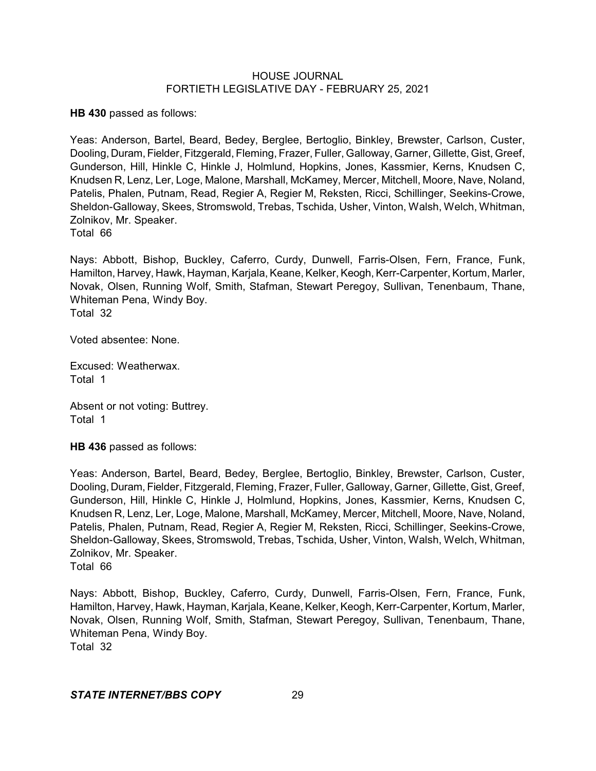**HB 430** passed as follows:

Yeas: Anderson, Bartel, Beard, Bedey, Berglee, Bertoglio, Binkley, Brewster, Carlson, Custer, Dooling, Duram, Fielder, Fitzgerald, Fleming, Frazer, Fuller, Galloway, Garner, Gillette, Gist, Greef, Gunderson, Hill, Hinkle C, Hinkle J, Holmlund, Hopkins, Jones, Kassmier, Kerns, Knudsen C, Knudsen R, Lenz, Ler, Loge, Malone, Marshall, McKamey, Mercer, Mitchell, Moore, Nave, Noland, Patelis, Phalen, Putnam, Read, Regier A, Regier M, Reksten, Ricci, Schillinger, Seekins-Crowe, Sheldon-Galloway, Skees, Stromswold, Trebas, Tschida, Usher, Vinton, Walsh, Welch, Whitman, Zolnikov, Mr. Speaker.

Total 66

Nays: Abbott, Bishop, Buckley, Caferro, Curdy, Dunwell, Farris-Olsen, Fern, France, Funk, Hamilton, Harvey, Hawk, Hayman, Karjala, Keane, Kelker, Keogh, Kerr-Carpenter, Kortum, Marler, Novak, Olsen, Running Wolf, Smith, Stafman, Stewart Peregoy, Sullivan, Tenenbaum, Thane, Whiteman Pena, Windy Boy. Total 32

Voted absentee: None.

Excused: Weatherwax. Total 1

Absent or not voting: Buttrey. Total 1

**HB 436** passed as follows:

Yeas: Anderson, Bartel, Beard, Bedey, Berglee, Bertoglio, Binkley, Brewster, Carlson, Custer, Dooling, Duram, Fielder, Fitzgerald, Fleming, Frazer, Fuller, Galloway, Garner, Gillette, Gist, Greef, Gunderson, Hill, Hinkle C, Hinkle J, Holmlund, Hopkins, Jones, Kassmier, Kerns, Knudsen C, Knudsen R, Lenz, Ler, Loge, Malone, Marshall, McKamey, Mercer, Mitchell, Moore, Nave, Noland, Patelis, Phalen, Putnam, Read, Regier A, Regier M, Reksten, Ricci, Schillinger, Seekins-Crowe, Sheldon-Galloway, Skees, Stromswold, Trebas, Tschida, Usher, Vinton, Walsh, Welch, Whitman, Zolnikov, Mr. Speaker.

Total 66

Nays: Abbott, Bishop, Buckley, Caferro, Curdy, Dunwell, Farris-Olsen, Fern, France, Funk, Hamilton, Harvey, Hawk, Hayman, Karjala, Keane, Kelker, Keogh, Kerr-Carpenter, Kortum, Marler, Novak, Olsen, Running Wolf, Smith, Stafman, Stewart Peregoy, Sullivan, Tenenbaum, Thane, Whiteman Pena, Windy Boy.

Total 32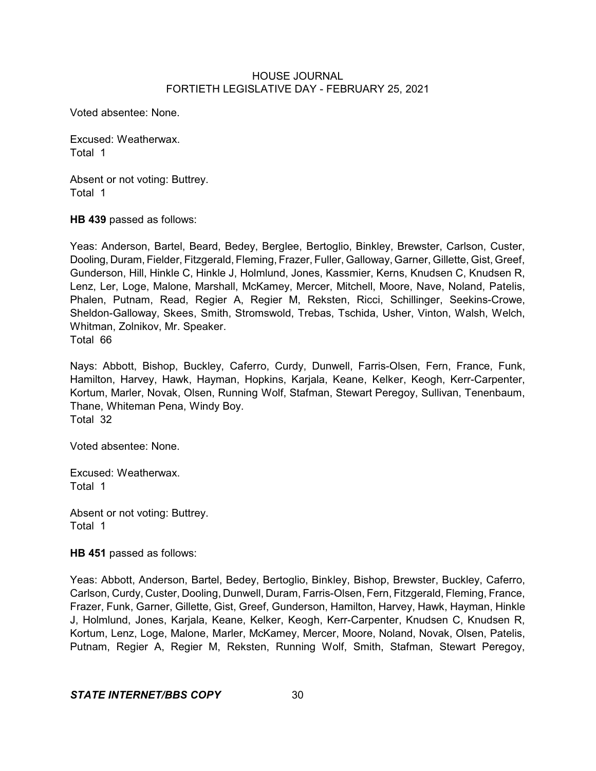Voted absentee: None.

Excused: Weatherwax. Total 1

Absent or not voting: Buttrey. Total 1

**HB 439** passed as follows:

Yeas: Anderson, Bartel, Beard, Bedey, Berglee, Bertoglio, Binkley, Brewster, Carlson, Custer, Dooling, Duram, Fielder, Fitzgerald, Fleming, Frazer, Fuller, Galloway, Garner, Gillette, Gist, Greef, Gunderson, Hill, Hinkle C, Hinkle J, Holmlund, Jones, Kassmier, Kerns, Knudsen C, Knudsen R, Lenz, Ler, Loge, Malone, Marshall, McKamey, Mercer, Mitchell, Moore, Nave, Noland, Patelis, Phalen, Putnam, Read, Regier A, Regier M, Reksten, Ricci, Schillinger, Seekins-Crowe, Sheldon-Galloway, Skees, Smith, Stromswold, Trebas, Tschida, Usher, Vinton, Walsh, Welch, Whitman, Zolnikov, Mr. Speaker. Total 66

Nays: Abbott, Bishop, Buckley, Caferro, Curdy, Dunwell, Farris-Olsen, Fern, France, Funk, Hamilton, Harvey, Hawk, Hayman, Hopkins, Karjala, Keane, Kelker, Keogh, Kerr-Carpenter, Kortum, Marler, Novak, Olsen, Running Wolf, Stafman, Stewart Peregoy, Sullivan, Tenenbaum, Thane, Whiteman Pena, Windy Boy. Total 32

Voted absentee: None.

Excused: Weatherwax. Total 1

Absent or not voting: Buttrey. Total 1

**HB 451** passed as follows:

Yeas: Abbott, Anderson, Bartel, Bedey, Bertoglio, Binkley, Bishop, Brewster, Buckley, Caferro, Carlson, Curdy, Custer, Dooling, Dunwell, Duram, Farris-Olsen, Fern, Fitzgerald, Fleming, France, Frazer, Funk, Garner, Gillette, Gist, Greef, Gunderson, Hamilton, Harvey, Hawk, Hayman, Hinkle J, Holmlund, Jones, Karjala, Keane, Kelker, Keogh, Kerr-Carpenter, Knudsen C, Knudsen R, Kortum, Lenz, Loge, Malone, Marler, McKamey, Mercer, Moore, Noland, Novak, Olsen, Patelis, Putnam, Regier A, Regier M, Reksten, Running Wolf, Smith, Stafman, Stewart Peregoy,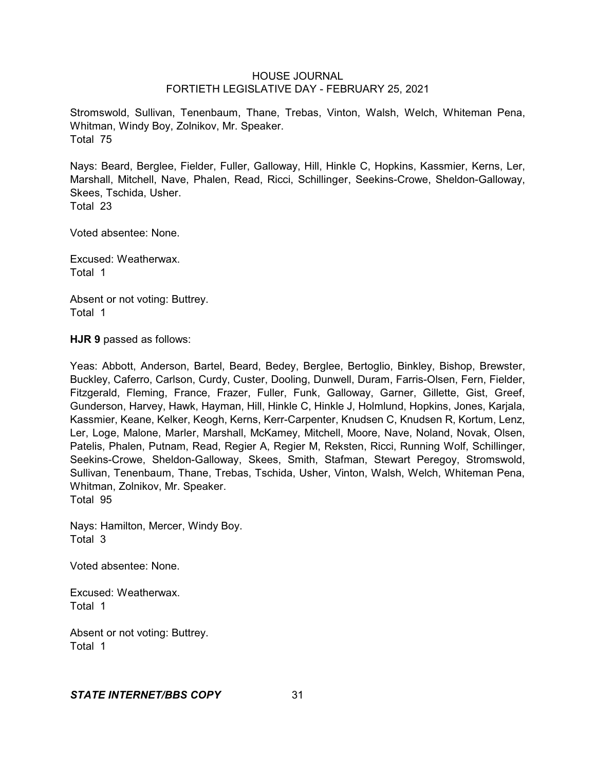Stromswold, Sullivan, Tenenbaum, Thane, Trebas, Vinton, Walsh, Welch, Whiteman Pena, Whitman, Windy Boy, Zolnikov, Mr. Speaker. Total 75

Nays: Beard, Berglee, Fielder, Fuller, Galloway, Hill, Hinkle C, Hopkins, Kassmier, Kerns, Ler, Marshall, Mitchell, Nave, Phalen, Read, Ricci, Schillinger, Seekins-Crowe, Sheldon-Galloway, Skees, Tschida, Usher. Total 23

Voted absentee: None.

Excused: Weatherwax. Total 1

Absent or not voting: Buttrey. Total 1

**HJR 9** passed as follows:

Yeas: Abbott, Anderson, Bartel, Beard, Bedey, Berglee, Bertoglio, Binkley, Bishop, Brewster, Buckley, Caferro, Carlson, Curdy, Custer, Dooling, Dunwell, Duram, Farris-Olsen, Fern, Fielder, Fitzgerald, Fleming, France, Frazer, Fuller, Funk, Galloway, Garner, Gillette, Gist, Greef, Gunderson, Harvey, Hawk, Hayman, Hill, Hinkle C, Hinkle J, Holmlund, Hopkins, Jones, Karjala, Kassmier, Keane, Kelker, Keogh, Kerns, Kerr-Carpenter, Knudsen C, Knudsen R, Kortum, Lenz, Ler, Loge, Malone, Marler, Marshall, McKamey, Mitchell, Moore, Nave, Noland, Novak, Olsen, Patelis, Phalen, Putnam, Read, Regier A, Regier M, Reksten, Ricci, Running Wolf, Schillinger, Seekins-Crowe, Sheldon-Galloway, Skees, Smith, Stafman, Stewart Peregoy, Stromswold, Sullivan, Tenenbaum, Thane, Trebas, Tschida, Usher, Vinton, Walsh, Welch, Whiteman Pena, Whitman, Zolnikov, Mr. Speaker. Total 95

Nays: Hamilton, Mercer, Windy Boy. Total 3

Voted absentee: None.

Excused: Weatherwax. Total 1

Absent or not voting: Buttrey. Total 1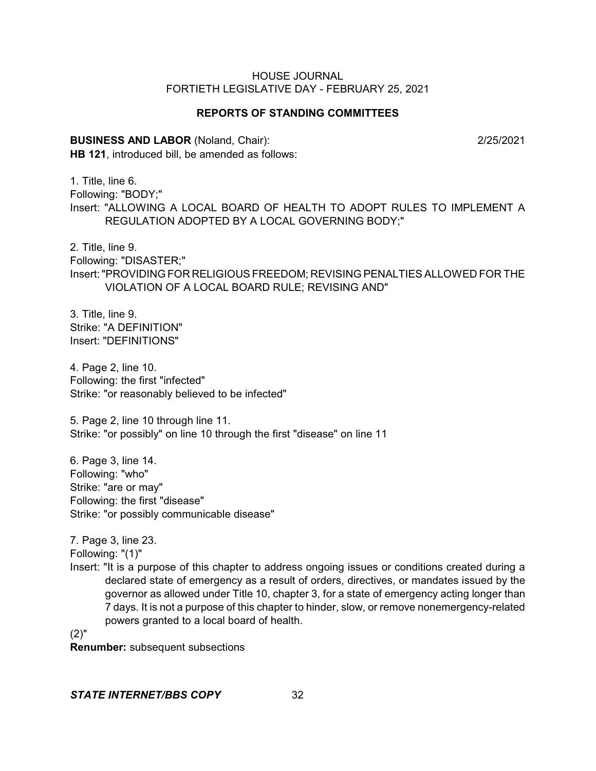## **REPORTS OF STANDING COMMITTEES**

**BUSINESS AND LABOR** (Noland, Chair): 2/25/2021

**HB 121**, introduced bill, be amended as follows:

1. Title, line 6. Following: "BODY;" Insert: "ALLOWING A LOCAL BOARD OF HEALTH TO ADOPT RULES TO IMPLEMENT A REGULATION ADOPTED BY A LOCAL GOVERNING BODY;"

2. Title, line 9. Following: "DISASTER;" Insert:"PROVIDING FOR RELIGIOUS FREEDOM; REVISING PENALTIES ALLOWED FOR THE VIOLATION OF A LOCAL BOARD RULE; REVISING AND"

3. Title, line 9. Strike: "A DEFINITION" Insert: "DEFINITIONS"

4. Page 2, line 10. Following: the first "infected" Strike: "or reasonably believed to be infected"

5. Page 2, line 10 through line 11. Strike: "or possibly" on line 10 through the first "disease" on line 11

6. Page 3, line 14. Following: "who" Strike: "are or may" Following: the first "disease" Strike: "or possibly communicable disease"

7. Page 3, line 23.

Following: "(1)"

Insert: "It is a purpose of this chapter to address ongoing issues or conditions created during a declared state of emergency as a result of orders, directives, or mandates issued by the governor as allowed under Title 10, chapter 3, for a state of emergency acting longer than 7 days. It is not a purpose of this chapter to hinder, slow, or remove nonemergency-related powers granted to a local board of health.

(2)"

**Renumber:** subsequent subsections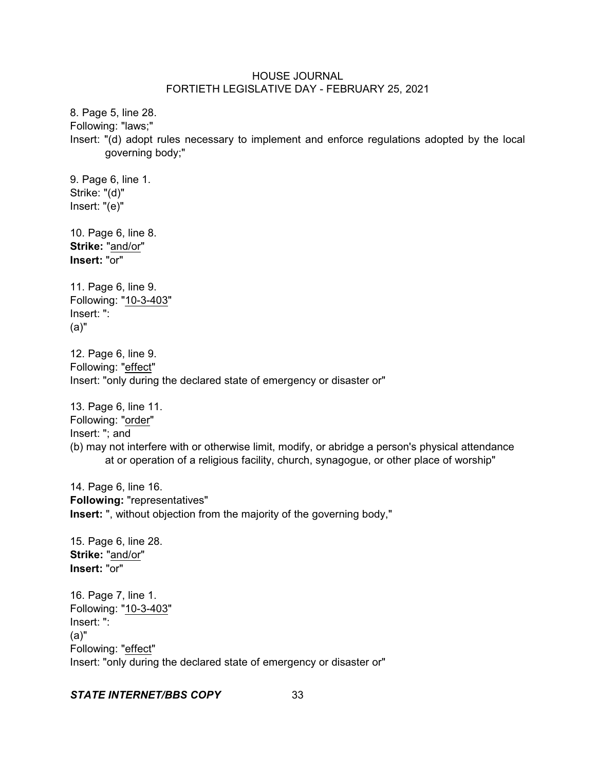8. Page 5, line 28. Following: "laws;" Insert: "(d) adopt rules necessary to implement and enforce regulations adopted by the local governing body;"

9. Page 6, line 1. Strike: "(d)" Insert: "(e)"

10. Page 6, line 8. **Strike:** "and/or" **Insert:** "or"

11. Page 6, line 9. Following: "10-3-403" Insert: ": (a)"

12. Page 6, line 9. Following: "effect" Insert: "only during the declared state of emergency or disaster or"

13. Page 6, line 11. Following: "order" Insert: "; and (b) may not interfere with or otherwise limit, modify, or abridge a person's physical attendance at or operation of a religious facility, church, synagogue, or other place of worship"

14. Page 6, line 16. **Following:** "representatives" **Insert:** ", without objection from the majority of the governing body,"

15. Page 6, line 28. **Strike:** "and/or" **Insert:** "or"

16. Page 7, line 1. Following: "10-3-403" Insert: ": (a)" Following: "effect" Insert: "only during the declared state of emergency or disaster or"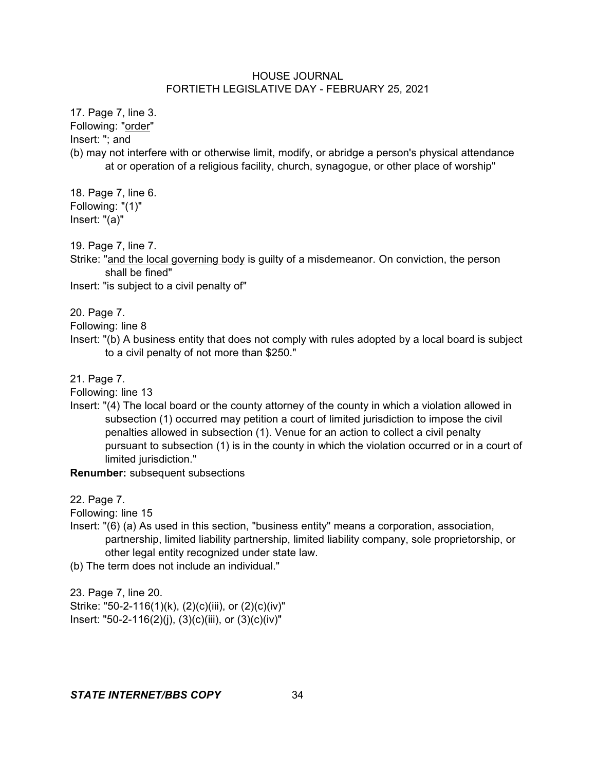17. Page 7, line 3.

Following: "order"

Insert: "; and

(b) may not interfere with or otherwise limit, modify, or abridge a person's physical attendance at or operation of a religious facility, church, synagogue, or other place of worship"

18. Page 7, line 6. Following: "(1)" Insert: "(a)"

19. Page 7, line 7.

Strike: "and the local governing body is guilty of a misdemeanor. On conviction, the person shall be fined"

Insert: "is subject to a civil penalty of"

20. Page 7.

Following: line 8

Insert: "(b) A business entity that does not comply with rules adopted by a local board is subject to a civil penalty of not more than \$250."

21. Page 7.

Following: line 13

Insert: "(4) The local board or the county attorney of the county in which a violation allowed in subsection (1) occurred may petition a court of limited jurisdiction to impose the civil penalties allowed in subsection (1). Venue for an action to collect a civil penalty pursuant to subsection (1) is in the county in which the violation occurred or in a court of limited jurisdiction."

**Renumber:** subsequent subsections

22. Page 7.

Following: line 15

Insert: "(6) (a) As used in this section, "business entity" means a corporation, association, partnership, limited liability partnership, limited liability company, sole proprietorship, or other legal entity recognized under state law.

(b) The term does not include an individual."

23. Page 7, line 20. Strike: "50-2-116(1)(k), (2)(c)(iii), or (2)(c)(iv)" Insert: "50-2-116(2)(j), (3)(c)(iii), or (3)(c)(iv)"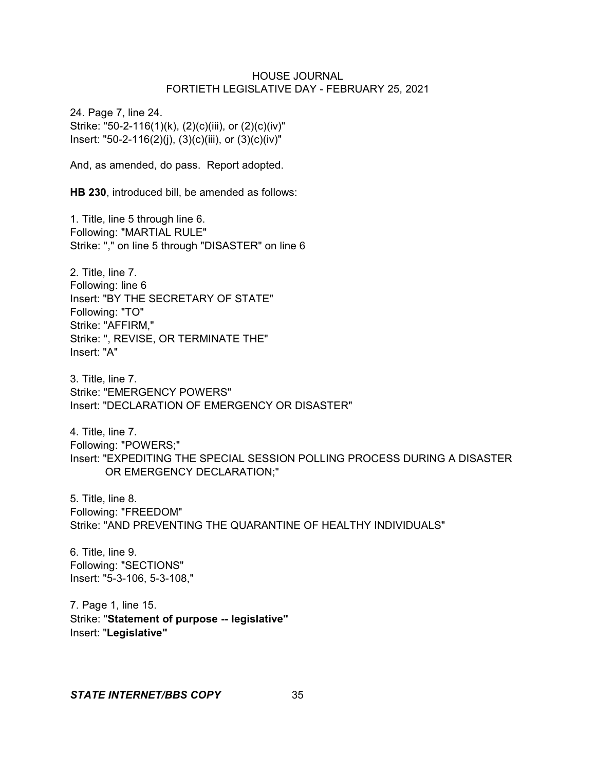24. Page 7, line 24. Strike: "50-2-116(1)(k), (2)(c)(iii), or (2)(c)(iv)" Insert: "50-2-116(2)(j), (3)(c)(iii), or (3)(c)(iv)"

And, as amended, do pass. Report adopted.

**HB 230**, introduced bill, be amended as follows:

1. Title, line 5 through line 6. Following: "MARTIAL RULE" Strike: "," on line 5 through "DISASTER" on line 6

2. Title, line 7. Following: line 6 Insert: "BY THE SECRETARY OF STATE" Following: "TO" Strike: "AFFIRM," Strike: ", REVISE, OR TERMINATE THE" Insert: "A"

3. Title, line 7. Strike: "EMERGENCY POWERS" Insert: "DECLARATION OF EMERGENCY OR DISASTER"

4. Title, line 7. Following: "POWERS;" Insert: "EXPEDITING THE SPECIAL SESSION POLLING PROCESS DURING A DISASTER OR EMERGENCY DECLARATION;"

5. Title, line 8. Following: "FREEDOM" Strike: "AND PREVENTING THE QUARANTINE OF HEALTHY INDIVIDUALS"

6. Title, line 9. Following: "SECTIONS" Insert: "5-3-106, 5-3-108,"

7. Page 1, line 15. Strike: "**Statement of purpose -- legislative"** Insert: "**Legislative"**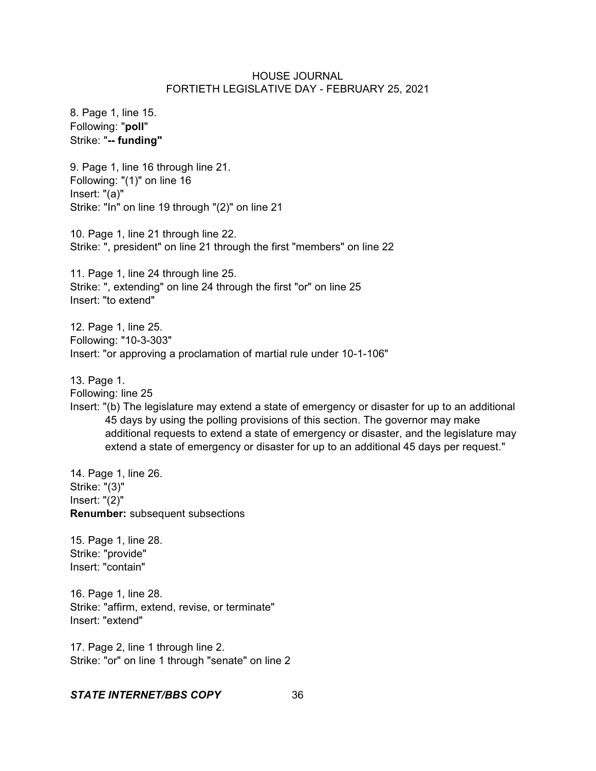8. Page 1, line 15. Following: "**poll**" Strike: "**-- funding"**

9. Page 1, line 16 through line 21. Following: "(1)" on line 16 Insert: "(a)" Strike: "In" on line 19 through "(2)" on line 21

10. Page 1, line 21 through line 22. Strike: ", president" on line 21 through the first "members" on line 22

11. Page 1, line 24 through line 25. Strike: ", extending" on line 24 through the first "or" on line 25 Insert: "to extend"

12. Page 1, line 25. Following: "10-3-303" Insert: "or approving a proclamation of martial rule under 10-1-106"

13. Page 1. Following: line 25

Insert: "(b) The legislature may extend a state of emergency or disaster for up to an additional 45 days by using the polling provisions of this section. The governor may make additional requests to extend a state of emergency or disaster, and the legislature may extend a state of emergency or disaster for up to an additional 45 days per request."

14. Page 1, line 26. Strike: "(3)" Insert: "(2)" **Renumber:** subsequent subsections

15. Page 1, line 28. Strike: "provide" Insert: "contain"

16. Page 1, line 28. Strike: "affirm, extend, revise, or terminate" Insert: "extend"

17. Page 2, line 1 through line 2. Strike: "or" on line 1 through "senate" on line 2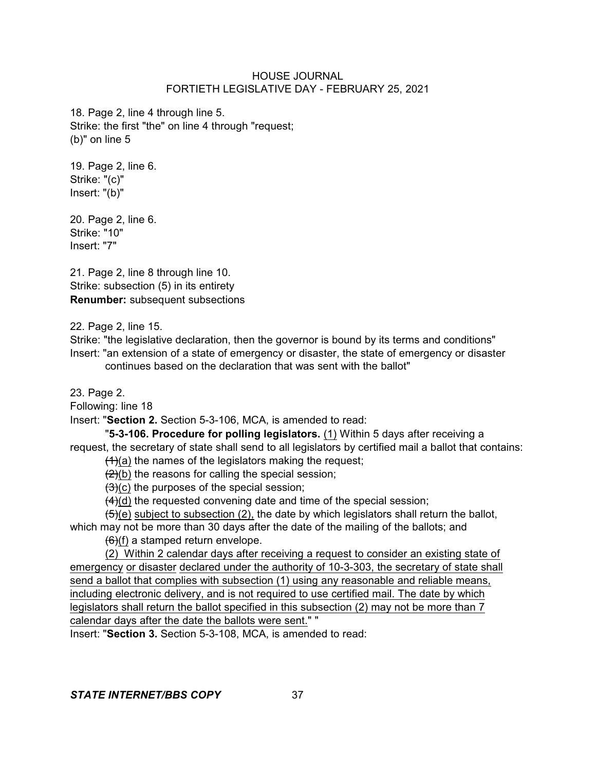18. Page 2, line 4 through line 5. Strike: the first "the" on line 4 through "request; (b)" on line 5

19. Page 2, line 6. Strike: "(c)" Insert: "(b)"

20. Page 2, line 6. Strike: "10" Insert: "7"

21. Page 2, line 8 through line 10. Strike: subsection (5) in its entirety **Renumber:** subsequent subsections

22. Page 2, line 15.

Strike: "the legislative declaration, then the governor is bound by its terms and conditions" Insert: "an extension of a state of emergency or disaster, the state of emergency or disaster continues based on the declaration that was sent with the ballot"

23. Page 2.

Following: line 18

Insert: "**Section 2.** Section 5-3-106, MCA, is amended to read:

"**5-3-106. Procedure for polling legislators.** (1) Within 5 days after receiving a request, the secretary of state shall send to all legislators by certified mail a ballot that contains:  $(1)(a)$  the names of the legislators making the request;

 $(2)(b)$  the reasons for calling the special session;

 $(3)(c)$  the purposes of the special session;

 $(4)(d)$  the requested convening date and time of the special session;

 $(5)(e)$  subject to subsection (2), the date by which legislators shall return the ballot, which may not be more than 30 days after the date of the mailing of the ballots; and

 $(6)(f)$  a stamped return envelope.

(2) Within 2 calendar days after receiving a request to consider an existing state of emergency or disaster declared under the authority of 10-3-303, the secretary of state shall send a ballot that complies with subsection (1) using any reasonable and reliable means, including electronic delivery, and is not required to use certified mail. The date by which legislators shall return the ballot specified in this subsection (2) may not be more than 7 calendar days after the date the ballots were sent." "

Insert: "**Section 3.** Section 5-3-108, MCA, is amended to read: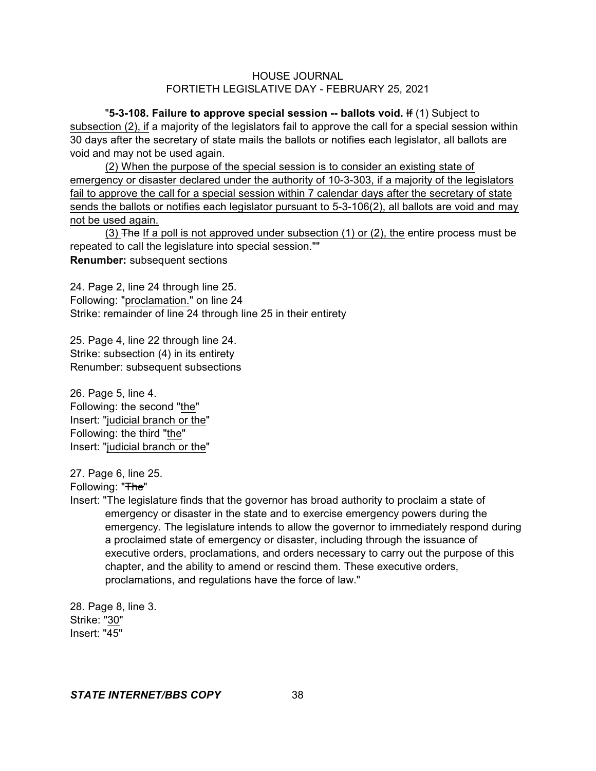"**5-3-108. Failure to approve special session -- ballots void.** If (1) Subject to subsection (2), if a majority of the legislators fail to approve the call for a special session within 30 days after the secretary of state mails the ballots or notifies each legislator, all ballots are void and may not be used again.

(2) When the purpose of the special session is to consider an existing state of emergency or disaster declared under the authority of 10-3-303, if a majority of the legislators fail to approve the call for a special session within 7 calendar days after the secretary of state sends the ballots or notifies each legislator pursuant to 5-3-106(2), all ballots are void and may not be used again.

(3) The If a poll is not approved under subsection (1) or (2), the entire process must be repeated to call the legislature into special session."" **Renumber:** subsequent sections

24. Page 2, line 24 through line 25. Following: "proclamation." on line 24 Strike: remainder of line 24 through line 25 in their entirety

25. Page 4, line 22 through line 24. Strike: subsection (4) in its entirety Renumber: subsequent subsections

26. Page 5, line 4. Following: the second "the" Insert: "judicial branch or the" Following: the third "the" Insert: "judicial branch or the"

27. Page 6, line 25.

Following: "The"

Insert: "The legislature finds that the governor has broad authority to proclaim a state of emergency or disaster in the state and to exercise emergency powers during the emergency. The legislature intends to allow the governor to immediately respond during a proclaimed state of emergency or disaster, including through the issuance of executive orders, proclamations, and orders necessary to carry out the purpose of this chapter, and the ability to amend or rescind them. These executive orders, proclamations, and regulations have the force of law."

28. Page 8, line 3. Strike: "30" Insert: "45"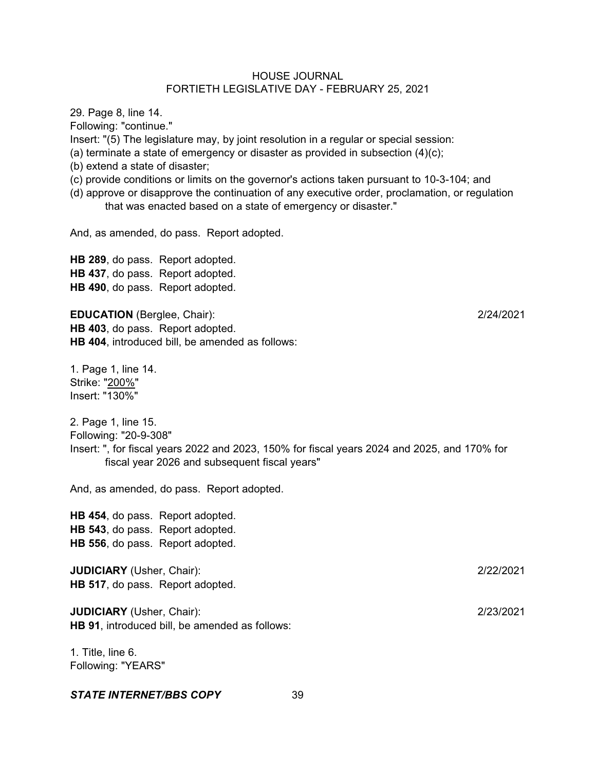Following: "continue." Insert: "(5) The legislature may, by joint resolution in a regular or special session: (a) terminate a state of emergency or disaster as provided in subsection (4)(c); (b) extend a state of disaster; (c) provide conditions or limits on the governor's actions taken pursuant to 10-3-104; and (d) approve or disapprove the continuation of any executive order, proclamation, or regulation that was enacted based on a state of emergency or disaster." And, as amended, do pass. Report adopted. **HB 289**, do pass. Report adopted. **HB 437**, do pass. Report adopted. **HB 490**, do pass. Report adopted. **EDUCATION** (Berglee, Chair): 2/24/2021 **HB 403**, do pass. Report adopted. **HB 404**, introduced bill, be amended as follows: 1. Page 1, line 14. Strike: "200%" Insert: "130%" 2. Page 1, line 15. Following: "20-9-308" Insert: ", for fiscal years 2022 and 2023, 150% for fiscal years 2024 and 2025, and 170% for

And, as amended, do pass. Report adopted.

fiscal year 2026 and subsequent fiscal years"

**HB 454**, do pass. Report adopted. **HB 543**, do pass. Report adopted. **HB 556**, do pass. Report adopted.

**JUDICIARY** (Usher, Chair): 2/22/2021 **HB 517**, do pass. Report adopted.

**JUDICIARY** (Usher, Chair): 2/23/2021 **HB 91**, introduced bill, be amended as follows:

1. Title, line 6. Following: "YEARS"

29. Page 8, line 14.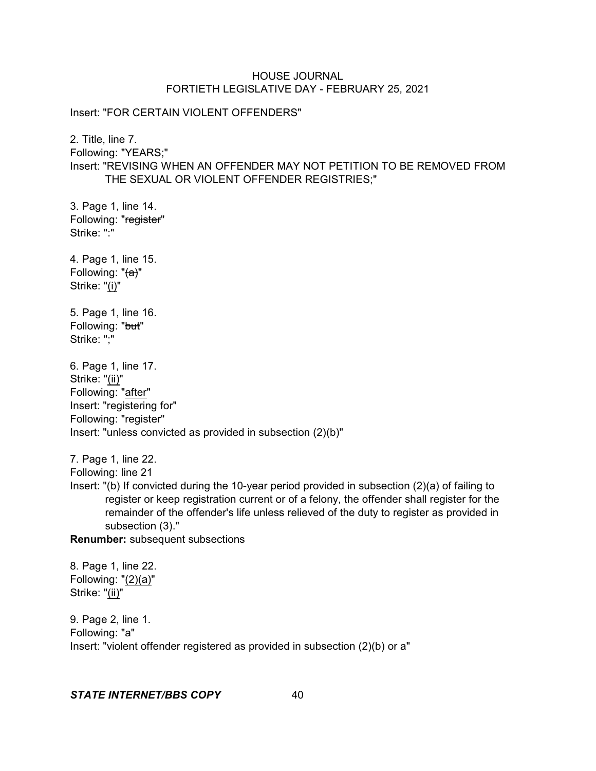Insert: "FOR CERTAIN VIOLENT OFFENDERS"

2. Title, line 7. Following: "YEARS;" Insert: "REVISING WHEN AN OFFENDER MAY NOT PETITION TO BE REMOVED FROM

THE SEXUAL OR VIOLENT OFFENDER REGISTRIES;"

3. Page 1, line 14. Following: "register" Strike: ":"

4. Page 1, line 15. Following: "(a)" Strike: "(i)"

5. Page 1, line 16. Following: "but" Strike: ";"

6. Page 1, line 17. Strike: "(ii)" Following: "after" Insert: "registering for" Following: "register" Insert: "unless convicted as provided in subsection (2)(b)"

7. Page 1, line 22.

Following: line 21

Insert: "(b) If convicted during the 10-year period provided in subsection (2)(a) of failing to register or keep registration current or of a felony, the offender shall register for the remainder of the offender's life unless relieved of the duty to register as provided in subsection (3)."

**Renumber:** subsequent subsections

8. Page 1, line 22. Following: "(2)(a)" Strike: "(ii)"

9. Page 2, line 1. Following: "a" Insert: "violent offender registered as provided in subsection (2)(b) or a"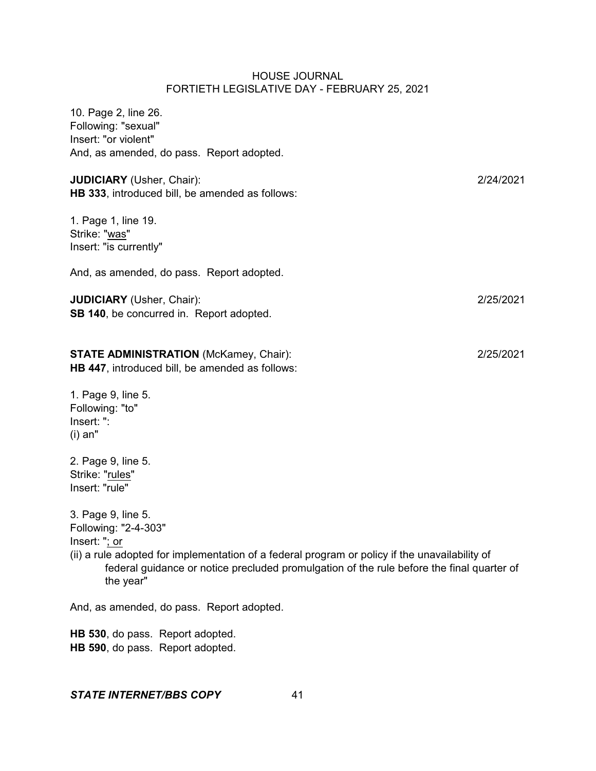10. Page 2, line 26. Following: "sexual" Insert: "or violent" And, as amended, do pass. Report adopted.

**JUDICIARY** (Usher, Chair): 2/24/2021 **HB 333**, introduced bill, be amended as follows:

1. Page 1, line 19. Strike: "was" Insert: "is currently"

And, as amended, do pass. Report adopted.

# **JUDICIARY** (Usher, Chair): 2/25/2021 **SB 140**, be concurred in. Report adopted.

# **STATE ADMINISTRATION** (McKamey, Chair): 2/25/2021

**HB 447**, introduced bill, be amended as follows:

1. Page 9, line 5. Following: "to" Insert: ": (i) an"

2. Page 9, line 5. Strike: "rules" Insert: "rule"

3. Page 9, line 5. Following: "2-4-303" Insert: "; or

(ii) a rule adopted for implementation of a federal program or policy if the unavailability of federal guidance or notice precluded promulgation of the rule before the final quarter of the year"

And, as amended, do pass. Report adopted.

**HB 530**, do pass. Report adopted. **HB 590**, do pass. Report adopted.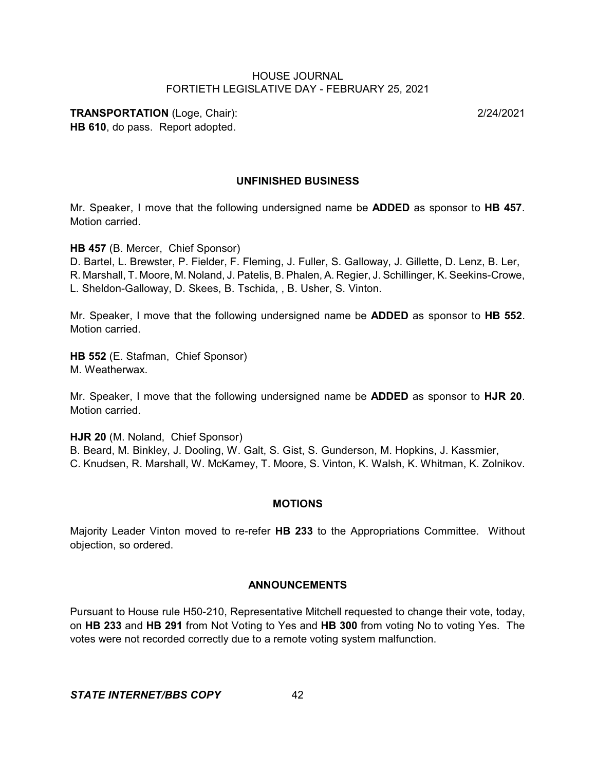**TRANSPORTATION** (Loge, Chair): 2/24/2021 **HB 610**, do pass. Report adopted.

## **UNFINISHED BUSINESS**

Mr. Speaker, I move that the following undersigned name be **ADDED** as sponsor to **HB 457**. Motion carried.

**HB 457** (B. Mercer, Chief Sponsor)

D. Bartel, L. Brewster, P. Fielder, F. Fleming, J. Fuller, S. Galloway, J. Gillette, D. Lenz, B. Ler, R. Marshall, T. Moore, M. Noland, J. Patelis, B. Phalen, A. Regier, J. Schillinger, K. Seekins-Crowe, L. Sheldon-Galloway, D. Skees, B. Tschida, , B. Usher, S. Vinton.

Mr. Speaker, I move that the following undersigned name be **ADDED** as sponsor to **HB 552**. Motion carried.

**HB 552** (E. Stafman, Chief Sponsor) M. Weatherwax.

Mr. Speaker, I move that the following undersigned name be **ADDED** as sponsor to **HJR 20**. Motion carried.

**HJR 20** (M. Noland, Chief Sponsor)

B. Beard, M. Binkley, J. Dooling, W. Galt, S. Gist, S. Gunderson, M. Hopkins, J. Kassmier, C. Knudsen, R. Marshall, W. McKamey, T. Moore, S. Vinton, K. Walsh, K. Whitman, K. Zolnikov.

#### **MOTIONS**

Majority Leader Vinton moved to re-refer **HB 233** to the Appropriations Committee. Without objection, so ordered.

#### **ANNOUNCEMENTS**

Pursuant to House rule H50-210, Representative Mitchell requested to change their vote, today, on **HB 233** and **HB 291** from Not Voting to Yes and **HB 300** from voting No to voting Yes. The votes were not recorded correctly due to a remote voting system malfunction.